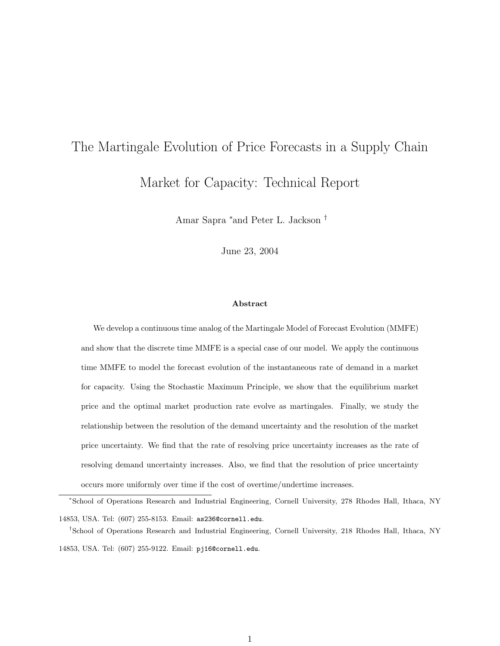# The Martingale Evolution of Price Forecasts in a Supply Chain Market for Capacity: Technical Report

Amar Sapra <sup>∗</sup>and Peter L. Jackson †

June 23, 2004

#### Abstract

We develop a continuous time analog of the Martingale Model of Forecast Evolution (MMFE) and show that the discrete time MMFE is a special case of our model. We apply the continuous time MMFE to model the forecast evolution of the instantaneous rate of demand in a market for capacity. Using the Stochastic Maximum Principle, we show that the equilibrium market price and the optimal market production rate evolve as martingales. Finally, we study the relationship between the resolution of the demand uncertainty and the resolution of the market price uncertainty. We find that the rate of resolving price uncertainty increases as the rate of resolving demand uncertainty increases. Also, we find that the resolution of price uncertainty occurs more uniformly over time if the cost of overtime/undertime increases.

<sup>∗</sup>School of Operations Research and Industrial Engineering, Cornell University, 278 Rhodes Hall, Ithaca, NY 14853, USA. Tel: (607) 255-8153. Email: as236@cornell.edu.

†School of Operations Research and Industrial Engineering, Cornell University, 218 Rhodes Hall, Ithaca, NY 14853, USA. Tel: (607) 255-9122. Email: pj16@cornell.edu.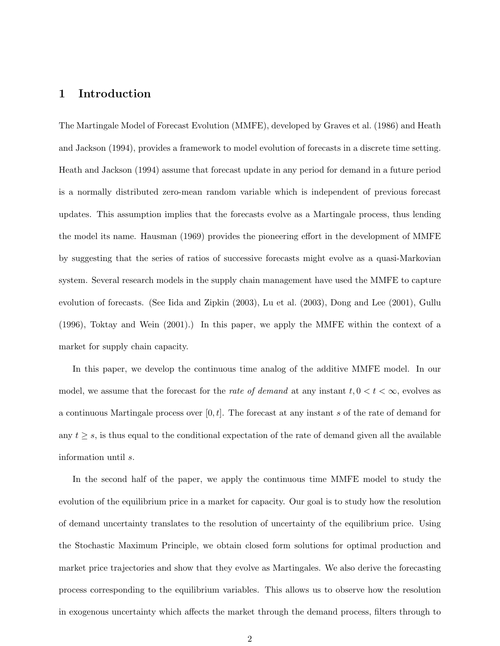# 1 Introduction

The Martingale Model of Forecast Evolution (MMFE), developed by Graves et al. (1986) and Heath and Jackson (1994), provides a framework to model evolution of forecasts in a discrete time setting. Heath and Jackson (1994) assume that forecast update in any period for demand in a future period is a normally distributed zero-mean random variable which is independent of previous forecast updates. This assumption implies that the forecasts evolve as a Martingale process, thus lending the model its name. Hausman (1969) provides the pioneering effort in the development of MMFE by suggesting that the series of ratios of successive forecasts might evolve as a quasi-Markovian system. Several research models in the supply chain management have used the MMFE to capture evolution of forecasts. (See Iida and Zipkin (2003), Lu et al. (2003), Dong and Lee (2001), Gullu (1996), Toktay and Wein (2001).) In this paper, we apply the MMFE within the context of a market for supply chain capacity.

In this paper, we develop the continuous time analog of the additive MMFE model. In our model, we assume that the forecast for the *rate of demand* at any instant  $t, 0 < t < \infty$ , evolves as a continuous Martingale process over  $[0, t]$ . The forecast at any instant s of the rate of demand for any  $t \geq s$ , is thus equal to the conditional expectation of the rate of demand given all the available information until s.

In the second half of the paper, we apply the continuous time MMFE model to study the evolution of the equilibrium price in a market for capacity. Our goal is to study how the resolution of demand uncertainty translates to the resolution of uncertainty of the equilibrium price. Using the Stochastic Maximum Principle, we obtain closed form solutions for optimal production and market price trajectories and show that they evolve as Martingales. We also derive the forecasting process corresponding to the equilibrium variables. This allows us to observe how the resolution in exogenous uncertainty which affects the market through the demand process, filters through to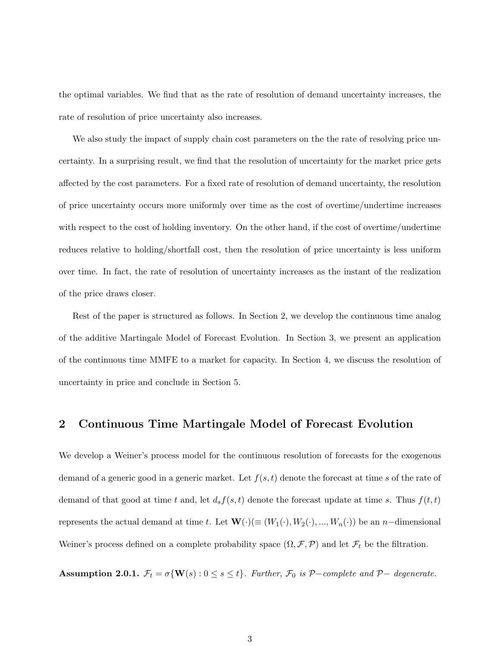the optimal variables. We find that as the rate of resolution of demand uncertainty increases, the rate of resolution of price uncertainty also increases.

We also study the impact of supply chain cost parameters on the the rate of resolving price uncertainty. In a surprising result, we find that the resolution of uncertainty for the market price gets affected by the cost parameters. For a fixed rate of resolution of demand uncertainty, the resolution of price uncertainty occurs more uniformly over time as the cost of overtime/undertime increases with respect to the cost of holding inventory. On the other hand, if the cost of overtime/undertime reduces relative to holding/shortfall cost, then the resolution of price uncertainty is less uniform over time. In fact, the rate of resolution of uncertainty increases as the instant of the realization of the price draws closer.

Rest of the paper is structured as follows. In Section 2, we develop the continuous time analog of the additive Martingale Model of Forecast Evolution. In Section 3, we present an application of the continuous time MMFE to a market for capacity. In Section 4, we discuss the resolution of uncertainty in price and conclude in Section 5.

## 2 Continuous Time Martingale Model of Forecast Evolution

We develop a Weiner's process model for the continuous resolution of forecasts for the exogenous demand of a generic good in a generic market. Let  $f(s,t)$  denote the forecast at time s of the rate of demand of that good at time t and, let  $d_s f(s,t)$  denote the forecast update at time s. Thus  $f(t,t)$ represents the actual demand at time t. Let  $\mathbf{W}(\cdot) (\equiv (W_1(\cdot), W_2(\cdot), ..., W_n(\cdot))$  be an n-dimensional Weiner's process defined on a complete probability space  $(\Omega, \mathcal{F}, \mathcal{P})$  and let  $\mathcal{F}_t$  be the filtration.

Assumption 2.0.1.  $\mathcal{F}_t = \sigma\{\mathbf{W}(s): 0 \le s \le t\}$ . Further,  $\mathcal{F}_0$  is  $\mathcal{P}-complete$  and  $\mathcal{P}-dependence$ .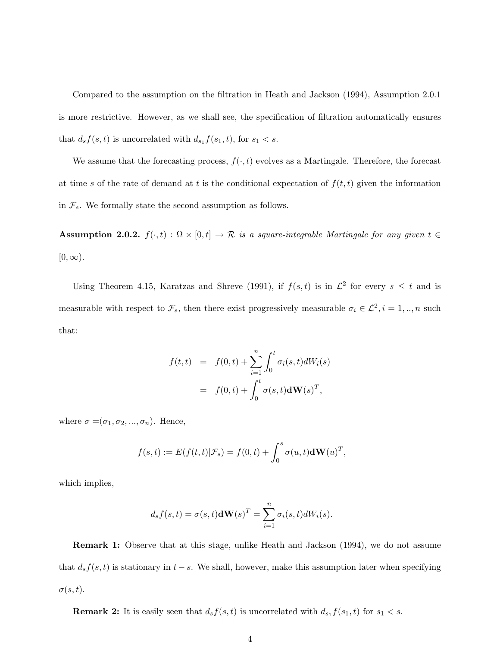Compared to the assumption on the filtration in Heath and Jackson (1994), Assumption 2.0.1 is more restrictive. However, as we shall see, the specification of filtration automatically ensures that  $d_s f(s,t)$  is uncorrelated with  $d_{s_1} f(s_1,t)$ , for  $s_1 < s$ .

We assume that the forecasting process,  $f(\cdot, t)$  evolves as a Martingale. Therefore, the forecast at time s of the rate of demand at t is the conditional expectation of  $f(t, t)$  given the information in  $\mathcal{F}_s$ . We formally state the second assumption as follows.

Assumption 2.0.2.  $f(\cdot, t) : \Omega \times [0, t] \to \mathcal{R}$  is a square-integrable Martingale for any given  $t \in$  $[0, \infty)$ .

Using Theorem 4.15, Karatzas and Shreve (1991), if  $f(s,t)$  is in  $\mathcal{L}^2$  for every  $s \leq t$  and is measurable with respect to  $\mathcal{F}_s$ , then there exist progressively measurable  $\sigma_i \in \mathcal{L}^2$ ,  $i = 1, ..., n$  such that:

$$
f(t,t) = f(0,t) + \sum_{i=1}^{n} \int_0^t \sigma_i(s,t)dW_i(s)
$$
  
=  $f(0,t) + \int_0^t \sigma(s,t)d\mathbf{W}(s)^T$ ,

where  $\sigma = (\sigma_1, \sigma_2, ..., \sigma_n)$ . Hence,

$$
f(s,t) := E(f(t,t)|\mathcal{F}_s) = f(0,t) + \int_0^s \sigma(u,t) d\mathbf{W}(u)^T,
$$

which implies,

$$
d_s f(s,t) = \sigma(s,t) d\mathbf{W}(s)^T = \sum_{i=1}^n \sigma_i(s,t) dW_i(s).
$$

Remark 1: Observe that at this stage, unlike Heath and Jackson (1994), we do not assume that  $d_s f(s, t)$  is stationary in  $t - s$ . We shall, however, make this assumption later when specifying  $\sigma(s,t).$ 

**Remark 2:** It is easily seen that  $d_s f(s,t)$  is uncorrelated with  $d_{s_1} f(s_1,t)$  for  $s_1 < s$ .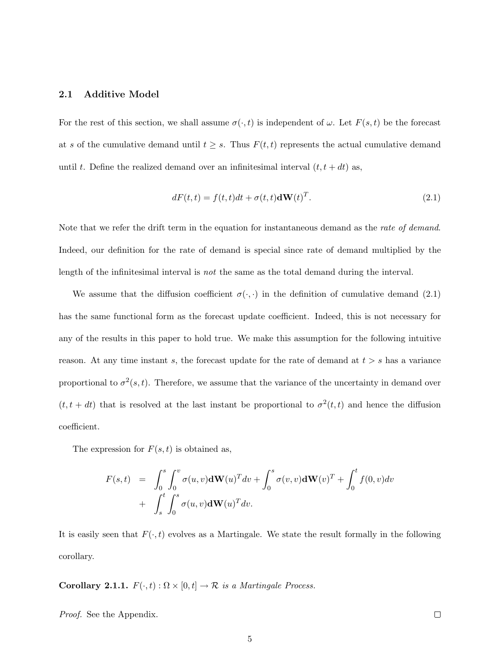#### 2.1 Additive Model

For the rest of this section, we shall assume  $\sigma(\cdot,t)$  is independent of  $\omega$ . Let  $F(s,t)$  be the forecast at s of the cumulative demand until  $t \geq s$ . Thus  $F(t, t)$  represents the actual cumulative demand until t. Define the realized demand over an infinitesimal interval  $(t, t + dt)$  as,

$$
dF(t,t) = f(t,t)dt + \sigma(t,t)\mathbf{d}\mathbf{W}(t)^{T}.
$$
\n(2.1)

Note that we refer the drift term in the equation for instantaneous demand as the rate of demand. Indeed, our definition for the rate of demand is special since rate of demand multiplied by the length of the infinitesimal interval is not the same as the total demand during the interval.

We assume that the diffusion coefficient  $\sigma(\cdot, \cdot)$  in the definition of cumulative demand (2.1) has the same functional form as the forecast update coefficient. Indeed, this is not necessary for any of the results in this paper to hold true. We make this assumption for the following intuitive reason. At any time instant s, the forecast update for the rate of demand at  $t > s$  has a variance proportional to  $\sigma^2(s,t)$ . Therefore, we assume that the variance of the uncertainty in demand over  $(t, t + dt)$  that is resolved at the last instant be proportional to  $\sigma^2(t, t)$  and hence the diffusion coefficient.

The expression for  $F(s, t)$  is obtained as,

$$
F(s,t) = \int_0^s \int_0^v \sigma(u,v) d\mathbf{W}(u)^T dv + \int_0^s \sigma(v,v) d\mathbf{W}(v)^T + \int_0^t f(0,v) dv
$$
  
+ 
$$
\int_s^t \int_0^s \sigma(u,v) d\mathbf{W}(u)^T dv.
$$

It is easily seen that  $F(\cdot, t)$  evolves as a Martingale. We state the result formally in the following corollary.

Corollary 2.1.1.  $F(\cdot, t) : \Omega \times [0, t] \to \mathcal{R}$  is a Martingale Process.

Proof. See the Appendix.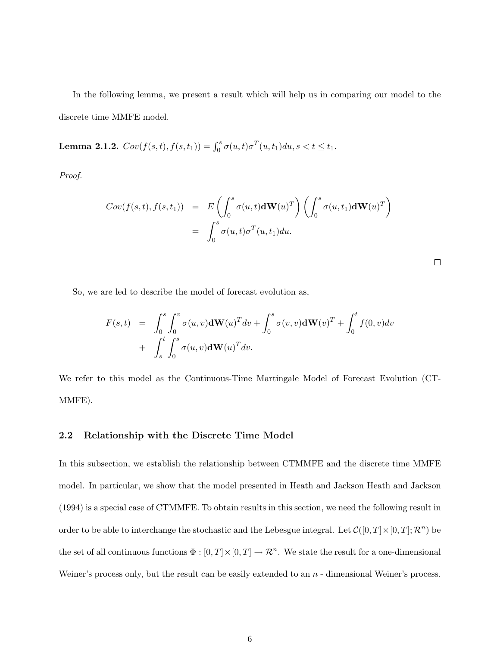In the following lemma, we present a result which will help us in comparing our model to the discrete time MMFE model.

Lemma 2.1.2.  $Cov(f(s,t), f(s,t_1)) = \int_0^s \sigma(u,t) \sigma^T(u,t_1) du, s < t \leq t_1$ .

Proof.

$$
Cov(f(s,t), f(s,t_1)) = E\left(\int_0^s \sigma(u,t) d\mathbf{W}(u)^T\right) \left(\int_0^s \sigma(u,t_1) d\mathbf{W}(u)^T\right)
$$
  
= 
$$
\int_0^s \sigma(u,t) \sigma^T(u,t_1) du.
$$

So, we are led to describe the model of forecast evolution as,

$$
F(s,t) = \int_0^s \int_0^v \sigma(u,v) d\mathbf{W}(u)^T dv + \int_0^s \sigma(v,v) d\mathbf{W}(v)^T + \int_0^t f(0,v) dv
$$
  
+ 
$$
\int_s^t \int_0^s \sigma(u,v) d\mathbf{W}(u)^T dv.
$$

We refer to this model as the Continuous-Time Martingale Model of Forecast Evolution (CT-MMFE).

#### 2.2 Relationship with the Discrete Time Model

In this subsection, we establish the relationship between CTMMFE and the discrete time MMFE model. In particular, we show that the model presented in Heath and Jackson Heath and Jackson (1994) is a special case of CTMMFE. To obtain results in this section, we need the following result in order to be able to interchange the stochastic and the Lebesgue integral. Let  $\mathcal{C}([0,T] \times [0,T]; \mathcal{R}^n)$  be the set of all continuous functions  $\Phi : [0, T] \times [0, T] \to \mathbb{R}^n$ . We state the result for a one-dimensional Weiner's process only, but the result can be easily extended to an  $n$  - dimensional Weiner's process.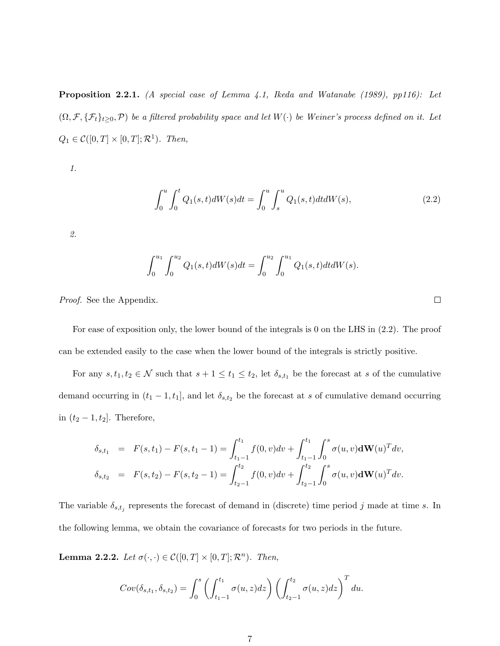Proposition 2.2.1. (A special case of Lemma 4.1, Ikeda and Watanabe (1989), pp116): Let  $(\Omega, \mathcal{F}, \{\mathcal{F}_t\}_{t\geq 0}, \mathcal{P})$  be a filtered probability space and let  $W(\cdot)$  be Weiner's process defined on it. Let  $Q_1 \in \mathcal{C}([0,T] \times [0,T]; \mathcal{R}^1)$ . Then,

1.

$$
\int_0^u \int_0^t Q_1(s, t) dW(s) dt = \int_0^u \int_s^u Q_1(s, t) dt dW(s), \tag{2.2}
$$

 $\Box$ 

2.

$$
\int_0^{u_1} \int_0^{u_2} Q_1(s, t) dW(s) dt = \int_0^{u_2} \int_0^{u_1} Q_1(s, t) dt dW(s).
$$

Proof. See the Appendix.

For ease of exposition only, the lower bound of the integrals is 0 on the LHS in (2.2). The proof can be extended easily to the case when the lower bound of the integrals is strictly positive.

For any  $s, t_1, t_2 \in \mathcal{N}$  such that  $s + 1 \le t_1 \le t_2$ , let  $\delta_{s,t_1}$  be the forecast at s of the cumulative demand occurring in  $(t_1 - 1, t_1]$ , and let  $\delta_{s,t_2}$  be the forecast at s of cumulative demand occurring in  $(t_2 - 1, t_2]$ . Therefore,

$$
\delta_{s,t_1} = F(s,t_1) - F(s,t_1 - 1) = \int_{t_1-1}^{t_1} f(0,v)dv + \int_{t_1-1}^{t_1} \int_0^s \sigma(u,v) d\mathbf{W}(u)^T dv,
$$
  

$$
\delta_{s,t_2} = F(s,t_2) - F(s,t_2 - 1) = \int_{t_2-1}^{t_2} f(0,v)dv + \int_{t_2-1}^{t_2} \int_0^s \sigma(u,v) d\mathbf{W}(u)^T dv.
$$

The variable  $\delta_{s,t_j}$  represents the forecast of demand in (discrete) time period j made at time s. In the following lemma, we obtain the covariance of forecasts for two periods in the future.

**Lemma 2.2.2.** Let  $\sigma(\cdot, \cdot) \in C([0, T] \times [0, T]; \mathcal{R}^n)$ . Then,

$$
Cov(\delta_{s,t_1}, \delta_{s,t_2}) = \int_0^s \left( \int_{t_1-1}^{t_1} \sigma(u, z) dz \right) \left( \int_{t_2-1}^{t_2} \sigma(u, z) dz \right)^T du.
$$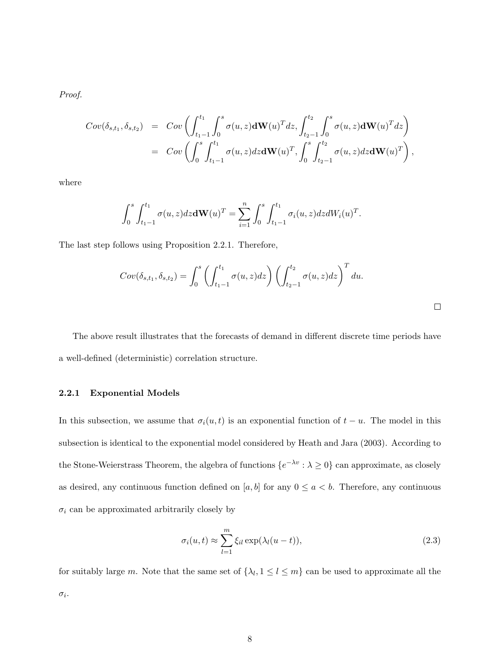Proof.

$$
Cov(\delta_{s,t_1}, \delta_{s,t_2}) = Cov\left(\int_{t_1-1}^{t_1} \int_0^s \sigma(u, z) d\mathbf{W}(u)^T dz, \int_{t_2-1}^{t_2} \int_0^s \sigma(u, z) d\mathbf{W}(u)^T dz\right)
$$
  
= Cov\left(\int\_0^s \int\_{t\_1-1}^{t\_1} \sigma(u, z) dz d\mathbf{W}(u)^T, \int\_0^s \int\_{t\_2-1}^{t\_2} \sigma(u, z) dz d\mathbf{W}(u)^T\right),

where

$$
\int_0^s \int_{t_1-1}^{t_1} \sigma(u, z) dz \mathbf{d} \mathbf{W}(u)^T = \sum_{i=1}^n \int_0^s \int_{t_1-1}^{t_1} \sigma_i(u, z) dz dW_i(u)^T.
$$

The last step follows using Proposition 2.2.1. Therefore,

$$
Cov(\delta_{s,t_1}, \delta_{s,t_2}) = \int_0^s \left( \int_{t_1-1}^{t_1} \sigma(u, z) dz \right) \left( \int_{t_2-1}^{t_2} \sigma(u, z) dz \right)^T du.
$$

 $\Box$ 

The above result illustrates that the forecasts of demand in different discrete time periods have a well-defined (deterministic) correlation structure.

#### 2.2.1 Exponential Models

In this subsection, we assume that  $\sigma_i(u, t)$  is an exponential function of  $t - u$ . The model in this subsection is identical to the exponential model considered by Heath and Jara (2003). According to the Stone-Weierstrass Theorem, the algebra of functions  $\{e^{-\lambda v} : \lambda \ge 0\}$  can approximate, as closely as desired, any continuous function defined on  $[a, b]$  for any  $0 \le a < b$ . Therefore, any continuous  $\sigma_i$  can be approximated arbitrarily closely by

$$
\sigma_i(u,t) \approx \sum_{l=1}^m \xi_{il} \exp(\lambda_l(u-t)),
$$
\n(2.3)

for suitably large m. Note that the same set of  $\{\lambda_l, 1 \leq l \leq m\}$  can be used to approximate all the

 $\sigma_i$ .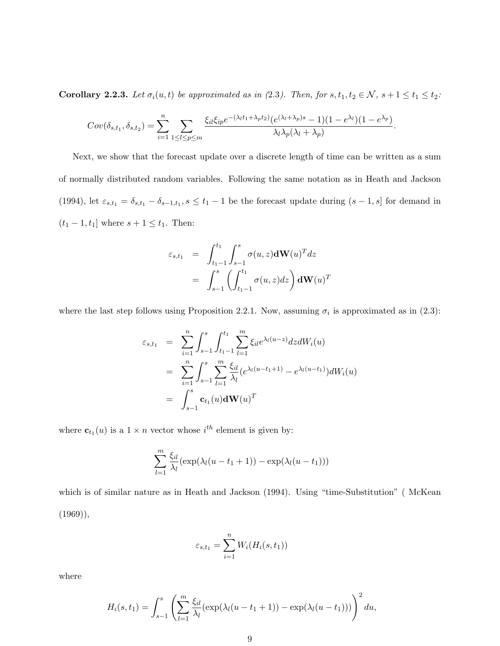Corollary 2.2.3. Let  $\sigma_i(u, t)$  be approximated as in (2.3). Then, for  $s, t_1, t_2 \in \mathcal{N}$ ,  $s + 1 \le t_1 \le t_2$ :

$$
Cov(\delta_{s,t_1}, \delta_{s,t_2}) = \sum_{i=1}^n \sum_{1 \leq l \leq p \leq m} \frac{\xi_{il} \xi_{ip} e^{-(\lambda_l t_1 + \lambda_p t_2)} (e^{(\lambda_l + \lambda_p)s} - 1)(1 - e^{\lambda_l})(1 - e^{\lambda_p})}{\lambda_l \lambda_p (\lambda_l + \lambda_p)}.
$$

Next, we show that the forecast update over a discrete length of time can be written as a sum of normally distributed random variables. Following the same notation as in Heath and Jackson (1994), let  $\varepsilon_{s,t_1} = \delta_{s,t_1} - \delta_{s-1,t_1}$ ,  $s \le t_1 - 1$  be the forecast update during  $(s-1, s]$  for demand in  $(t_1 - 1, t_1]$  where  $s + 1 \le t_1$ . Then:

$$
\varepsilon_{s,t_1} = \int_{t_1-1}^{t_1} \int_{s-1}^s \sigma(u, z) d\mathbf{W}(u)^T dz
$$

$$
= \int_{s-1}^s \left( \int_{t_1-1}^{t_1} \sigma(u, z) dz \right) d\mathbf{W}(u)^T
$$

where the last step follows using Proposition 2.2.1. Now, assuming  $\sigma_i$  is approximated as in (2.3):

$$
\varepsilon_{s,t_1} = \sum_{i=1}^n \int_{s-1}^s \int_{t_1-1}^{t_1} \sum_{l=1}^m \xi_{il} e^{\lambda_l (u-z)} dz dW_i(u)
$$
  
\n
$$
= \sum_{i=1}^n \int_{s-1}^s \sum_{l=1}^m \frac{\xi_{il}}{\lambda_l} (e^{\lambda_l (u-t_1+1)} - e^{\lambda_l (u-t_1)}) dW_i(u)
$$
  
\n
$$
= \int_{s-1}^s \mathbf{c}_{t_1}(u) d\mathbf{W}(u)^T
$$

where  $\mathbf{c}_{t_1}(u)$  is a  $1 \times n$  vector whose  $i^{th}$  element is given by:

$$
\sum_{l=1}^{m} \frac{\xi_{il}}{\lambda_l} (\exp(\lambda_l(u - t_1 + 1)) - \exp(\lambda_l(u - t_1)))
$$

which is of similar nature as in Heath and Jackson (1994). Using "time-Substitution" ( McKean  $(1969)$ ,

$$
\varepsilon_{s,t_1} = \sum_{i=1}^n W_i(H_i(s,t_1))
$$

where

$$
H_i(s, t_1) = \int_{s-1}^s \left( \sum_{l=1}^m \frac{\xi_{il}}{\lambda_l} (\exp(\lambda_l(u - t_1 + 1)) - \exp(\lambda_l(u - t_1))) \right)^2 du,
$$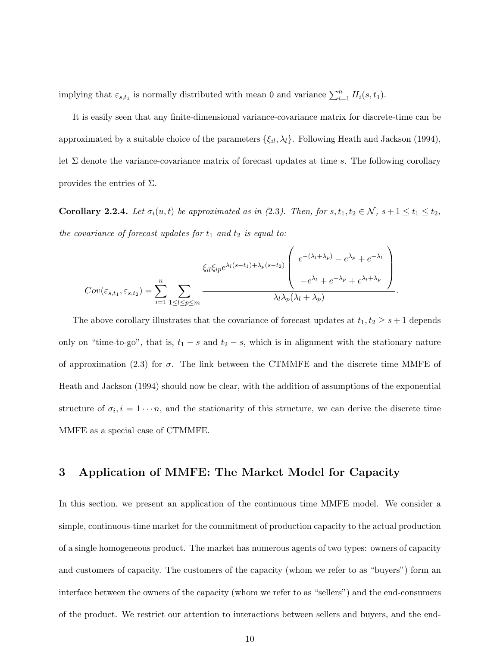implying that  $\varepsilon_{s,t_1}$  is normally distributed with mean 0 and variance  $\sum_{i=1}^{n} H_i(s,t_1)$ .

It is easily seen that any finite-dimensional variance-covariance matrix for discrete-time can be approximated by a suitable choice of the parameters  $\{\xi_{il}, \lambda_l\}$ . Following Heath and Jackson (1994), let  $\Sigma$  denote the variance-covariance matrix of forecast updates at time s. The following corollary provides the entries of  $\Sigma$ .

**Corollary 2.2.4.** Let  $\sigma_i(u, t)$  be approximated as in (2.3). Then, for  $s, t_1, t_2 \in \mathcal{N}$ ,  $s + 1 \le t_1 \le t_2$ , the covariance of forecast updates for  $t_1$  and  $t_2$  is equal to:

$$
Cov(\varepsilon_{s,t_1}, \varepsilon_{s,t_2}) = \sum_{i=1}^n \sum_{1 \leq l \leq p \leq m} \frac{\xi_{il}\xi_{ip}e^{\lambda_l(s-t_1) + \lambda_p(s-t_2)} \left(e^{-(\lambda_l + \lambda_p)} - e^{\lambda_p} + e^{-\lambda_l}\right)}{\lambda_l\lambda_p(\lambda_l + \lambda_p)}.
$$

The above corollary illustrates that the covariance of forecast updates at  $t_1, t_2 \geq s + 1$  depends only on "time-to-go", that is,  $t_1 - s$  and  $t_2 - s$ , which is in alignment with the stationary nature of approximation (2.3) for  $\sigma$ . The link between the CTMMFE and the discrete time MMFE of Heath and Jackson (1994) should now be clear, with the addition of assumptions of the exponential structure of  $\sigma_i$ ,  $i = 1 \cdots n$ , and the stationarity of this structure, we can derive the discrete time MMFE as a special case of CTMMFE.

# 3 Application of MMFE: The Market Model for Capacity

In this section, we present an application of the continuous time MMFE model. We consider a simple, continuous-time market for the commitment of production capacity to the actual production of a single homogeneous product. The market has numerous agents of two types: owners of capacity and customers of capacity. The customers of the capacity (whom we refer to as "buyers") form an interface between the owners of the capacity (whom we refer to as "sellers") and the end-consumers of the product. We restrict our attention to interactions between sellers and buyers, and the end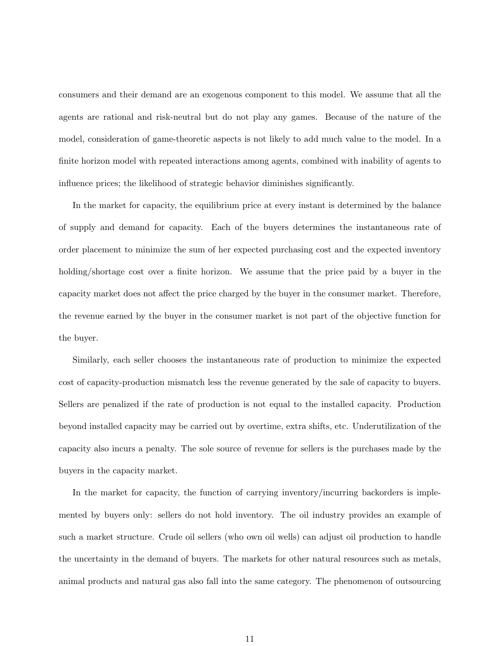consumers and their demand are an exogenous component to this model. We assume that all the agents are rational and risk-neutral but do not play any games. Because of the nature of the model, consideration of game-theoretic aspects is not likely to add much value to the model. In a finite horizon model with repeated interactions among agents, combined with inability of agents to influence prices; the likelihood of strategic behavior diminishes significantly.

In the market for capacity, the equilibrium price at every instant is determined by the balance of supply and demand for capacity. Each of the buyers determines the instantaneous rate of order placement to minimize the sum of her expected purchasing cost and the expected inventory holding/shortage cost over a finite horizon. We assume that the price paid by a buyer in the capacity market does not affect the price charged by the buyer in the consumer market. Therefore, the revenue earned by the buyer in the consumer market is not part of the objective function for the buyer.

Similarly, each seller chooses the instantaneous rate of production to minimize the expected cost of capacity-production mismatch less the revenue generated by the sale of capacity to buyers. Sellers are penalized if the rate of production is not equal to the installed capacity. Production beyond installed capacity may be carried out by overtime, extra shifts, etc. Underutilization of the capacity also incurs a penalty. The sole source of revenue for sellers is the purchases made by the buyers in the capacity market.

In the market for capacity, the function of carrying inventory/incurring backorders is implemented by buyers only: sellers do not hold inventory. The oil industry provides an example of such a market structure. Crude oil sellers (who own oil wells) can adjust oil production to handle the uncertainty in the demand of buyers. The markets for other natural resources such as metals, animal products and natural gas also fall into the same category. The phenomenon of outsourcing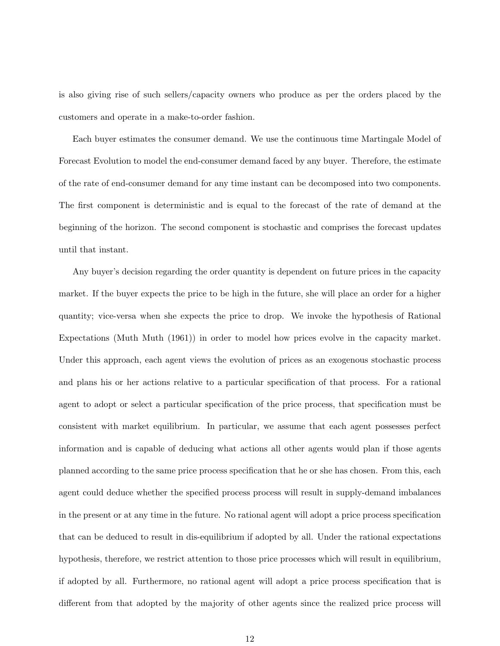is also giving rise of such sellers/capacity owners who produce as per the orders placed by the customers and operate in a make-to-order fashion.

Each buyer estimates the consumer demand. We use the continuous time Martingale Model of Forecast Evolution to model the end-consumer demand faced by any buyer. Therefore, the estimate of the rate of end-consumer demand for any time instant can be decomposed into two components. The first component is deterministic and is equal to the forecast of the rate of demand at the beginning of the horizon. The second component is stochastic and comprises the forecast updates until that instant.

Any buyer's decision regarding the order quantity is dependent on future prices in the capacity market. If the buyer expects the price to be high in the future, she will place an order for a higher quantity; vice-versa when she expects the price to drop. We invoke the hypothesis of Rational Expectations (Muth Muth (1961)) in order to model how prices evolve in the capacity market. Under this approach, each agent views the evolution of prices as an exogenous stochastic process and plans his or her actions relative to a particular specification of that process. For a rational agent to adopt or select a particular specification of the price process, that specification must be consistent with market equilibrium. In particular, we assume that each agent possesses perfect information and is capable of deducing what actions all other agents would plan if those agents planned according to the same price process specification that he or she has chosen. From this, each agent could deduce whether the specified process process will result in supply-demand imbalances in the present or at any time in the future. No rational agent will adopt a price process specification that can be deduced to result in dis-equilibrium if adopted by all. Under the rational expectations hypothesis, therefore, we restrict attention to those price processes which will result in equilibrium, if adopted by all. Furthermore, no rational agent will adopt a price process specification that is different from that adopted by the majority of other agents since the realized price process will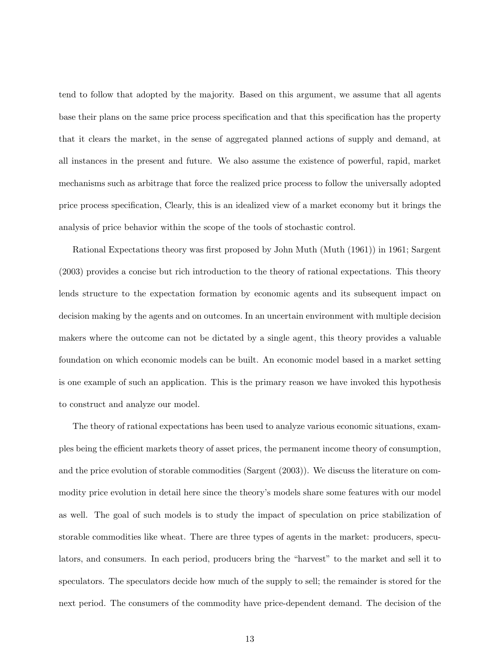tend to follow that adopted by the majority. Based on this argument, we assume that all agents base their plans on the same price process specification and that this specification has the property that it clears the market, in the sense of aggregated planned actions of supply and demand, at all instances in the present and future. We also assume the existence of powerful, rapid, market mechanisms such as arbitrage that force the realized price process to follow the universally adopted price process specification, Clearly, this is an idealized view of a market economy but it brings the analysis of price behavior within the scope of the tools of stochastic control.

Rational Expectations theory was first proposed by John Muth (Muth (1961)) in 1961; Sargent (2003) provides a concise but rich introduction to the theory of rational expectations. This theory lends structure to the expectation formation by economic agents and its subsequent impact on decision making by the agents and on outcomes. In an uncertain environment with multiple decision makers where the outcome can not be dictated by a single agent, this theory provides a valuable foundation on which economic models can be built. An economic model based in a market setting is one example of such an application. This is the primary reason we have invoked this hypothesis to construct and analyze our model.

The theory of rational expectations has been used to analyze various economic situations, examples being the efficient markets theory of asset prices, the permanent income theory of consumption, and the price evolution of storable commodities (Sargent (2003)). We discuss the literature on commodity price evolution in detail here since the theory's models share some features with our model as well. The goal of such models is to study the impact of speculation on price stabilization of storable commodities like wheat. There are three types of agents in the market: producers, speculators, and consumers. In each period, producers bring the "harvest" to the market and sell it to speculators. The speculators decide how much of the supply to sell; the remainder is stored for the next period. The consumers of the commodity have price-dependent demand. The decision of the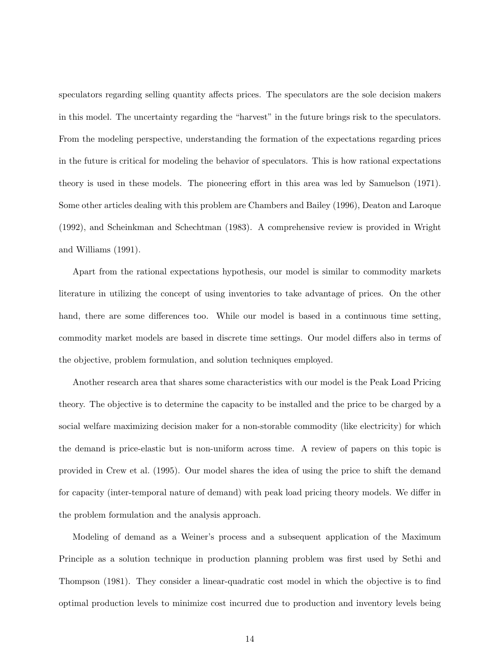speculators regarding selling quantity affects prices. The speculators are the sole decision makers in this model. The uncertainty regarding the "harvest" in the future brings risk to the speculators. From the modeling perspective, understanding the formation of the expectations regarding prices in the future is critical for modeling the behavior of speculators. This is how rational expectations theory is used in these models. The pioneering effort in this area was led by Samuelson (1971). Some other articles dealing with this problem are Chambers and Bailey (1996), Deaton and Laroque (1992), and Scheinkman and Schechtman (1983). A comprehensive review is provided in Wright and Williams (1991).

Apart from the rational expectations hypothesis, our model is similar to commodity markets literature in utilizing the concept of using inventories to take advantage of prices. On the other hand, there are some differences too. While our model is based in a continuous time setting, commodity market models are based in discrete time settings. Our model differs also in terms of the objective, problem formulation, and solution techniques employed.

Another research area that shares some characteristics with our model is the Peak Load Pricing theory. The objective is to determine the capacity to be installed and the price to be charged by a social welfare maximizing decision maker for a non-storable commodity (like electricity) for which the demand is price-elastic but is non-uniform across time. A review of papers on this topic is provided in Crew et al. (1995). Our model shares the idea of using the price to shift the demand for capacity (inter-temporal nature of demand) with peak load pricing theory models. We differ in the problem formulation and the analysis approach.

Modeling of demand as a Weiner's process and a subsequent application of the Maximum Principle as a solution technique in production planning problem was first used by Sethi and Thompson (1981). They consider a linear-quadratic cost model in which the objective is to find optimal production levels to minimize cost incurred due to production and inventory levels being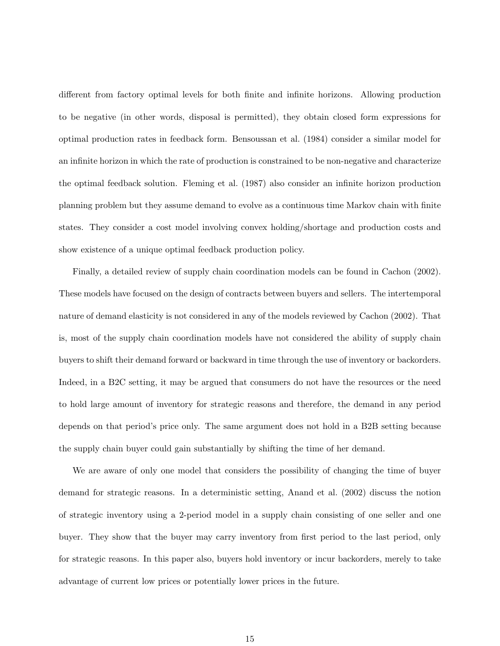different from factory optimal levels for both finite and infinite horizons. Allowing production to be negative (in other words, disposal is permitted), they obtain closed form expressions for optimal production rates in feedback form. Bensoussan et al. (1984) consider a similar model for an infinite horizon in which the rate of production is constrained to be non-negative and characterize the optimal feedback solution. Fleming et al. (1987) also consider an infinite horizon production planning problem but they assume demand to evolve as a continuous time Markov chain with finite states. They consider a cost model involving convex holding/shortage and production costs and show existence of a unique optimal feedback production policy.

Finally, a detailed review of supply chain coordination models can be found in Cachon (2002). These models have focused on the design of contracts between buyers and sellers. The intertemporal nature of demand elasticity is not considered in any of the models reviewed by Cachon (2002). That is, most of the supply chain coordination models have not considered the ability of supply chain buyers to shift their demand forward or backward in time through the use of inventory or backorders. Indeed, in a B2C setting, it may be argued that consumers do not have the resources or the need to hold large amount of inventory for strategic reasons and therefore, the demand in any period depends on that period's price only. The same argument does not hold in a B2B setting because the supply chain buyer could gain substantially by shifting the time of her demand.

We are aware of only one model that considers the possibility of changing the time of buyer demand for strategic reasons. In a deterministic setting, Anand et al. (2002) discuss the notion of strategic inventory using a 2-period model in a supply chain consisting of one seller and one buyer. They show that the buyer may carry inventory from first period to the last period, only for strategic reasons. In this paper also, buyers hold inventory or incur backorders, merely to take advantage of current low prices or potentially lower prices in the future.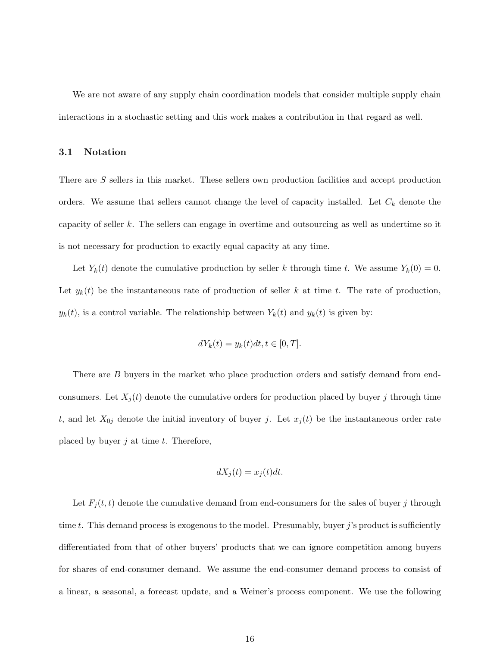We are not aware of any supply chain coordination models that consider multiple supply chain interactions in a stochastic setting and this work makes a contribution in that regard as well.

#### 3.1 Notation

There are S sellers in this market. These sellers own production facilities and accept production orders. We assume that sellers cannot change the level of capacity installed. Let  $C_k$  denote the capacity of seller k. The sellers can engage in overtime and outsourcing as well as undertime so it is not necessary for production to exactly equal capacity at any time.

Let  $Y_k(t)$  denote the cumulative production by seller k through time t. We assume  $Y_k(0) = 0$ . Let  $y_k(t)$  be the instantaneous rate of production of seller k at time t. The rate of production,  $y_k(t)$ , is a control variable. The relationship between  $Y_k(t)$  and  $y_k(t)$  is given by:

$$
dY_k(t) = y_k(t)dt, t \in [0, T].
$$

There are B buyers in the market who place production orders and satisfy demand from endconsumers. Let  $X_j(t)$  denote the cumulative orders for production placed by buyer j through time t, and let  $X_{0j}$  denote the initial inventory of buyer j. Let  $x_j(t)$  be the instantaneous order rate placed by buyer  $j$  at time  $t$ . Therefore,

$$
dX_j(t) = x_j(t)dt.
$$

Let  $F_i(t, t)$  denote the cumulative demand from end-consumers for the sales of buyer j through time t. This demand process is exogenous to the model. Presumably, buyer j's product is sufficiently differentiated from that of other buyers' products that we can ignore competition among buyers for shares of end-consumer demand. We assume the end-consumer demand process to consist of a linear, a seasonal, a forecast update, and a Weiner's process component. We use the following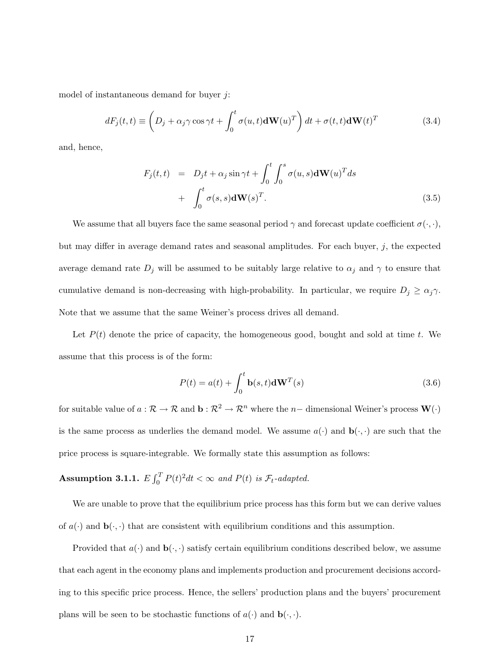model of instantaneous demand for buyer  $j$ :

$$
dF_j(t,t) \equiv \left( D_j + \alpha_j \gamma \cos \gamma t + \int_0^t \sigma(u,t) \mathbf{d} \mathbf{W}(u)^T \right) dt + \sigma(t,t) \mathbf{d} \mathbf{W}(t)^T
$$
(3.4)

and, hence,

$$
F_j(t,t) = D_j t + \alpha_j \sin \gamma t + \int_0^t \int_0^s \sigma(u,s) d\mathbf{W}(u)^T ds
$$
  
+ 
$$
\int_0^t \sigma(s,s) d\mathbf{W}(s)^T.
$$
 (3.5)

We assume that all buyers face the same seasonal period  $\gamma$  and forecast update coefficient  $\sigma(\cdot,\cdot)$ , but may differ in average demand rates and seasonal amplitudes. For each buyer,  $j$ , the expected average demand rate  $D_j$  will be assumed to be suitably large relative to  $\alpha_j$  and  $\gamma$  to ensure that cumulative demand is non-decreasing with high-probability. In particular, we require  $D_j \ge \alpha_j \gamma$ . Note that we assume that the same Weiner's process drives all demand.

Let  $P(t)$  denote the price of capacity, the homogeneous good, bought and sold at time t. We assume that this process is of the form:

$$
P(t) = a(t) + \int_0^t \mathbf{b}(s, t) \mathbf{d} \mathbf{W}^T(s)
$$
\n(3.6)

for suitable value of  $a: \mathcal{R} \to \mathcal{R}$  and  $\mathbf{b}: \mathcal{R}^2 \to \mathcal{R}^n$  where the *n*− dimensional Weiner's process  $\mathbf{W}(\cdot)$ is the same process as underlies the demand model. We assume  $a(\cdot)$  and  $\mathbf{b}(\cdot, \cdot)$  are such that the price process is square-integrable. We formally state this assumption as follows:

#### Assumption 3.1.1.  $E \int_0^T$  $P(t)^2 dt < \infty$  and  $P(t)$  is  $\mathcal{F}_t$ -adapted.

We are unable to prove that the equilibrium price process has this form but we can derive values of  $a(\cdot)$  and  $\mathbf{b}(\cdot, \cdot)$  that are consistent with equilibrium conditions and this assumption.

Provided that  $a(\cdot)$  and  $b(\cdot, \cdot)$  satisfy certain equilibrium conditions described below, we assume that each agent in the economy plans and implements production and procurement decisions according to this specific price process. Hence, the sellers' production plans and the buyers' procurement plans will be seen to be stochastic functions of  $a(\cdot)$  and  $b(\cdot, \cdot)$ .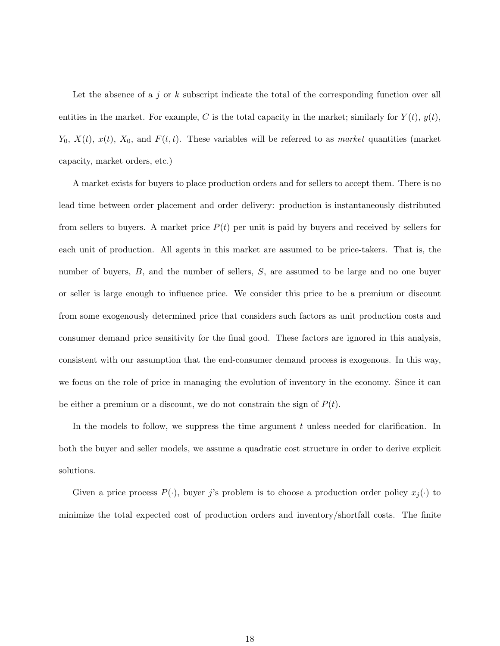Let the absence of a j or  $k$  subscript indicate the total of the corresponding function over all entities in the market. For example, C is the total capacity in the market; similarly for  $Y(t)$ ,  $y(t)$ ,  $Y_0$ ,  $X(t)$ ,  $x(t)$ ,  $X_0$ , and  $F(t, t)$ . These variables will be referred to as *market* quantities (market capacity, market orders, etc.)

A market exists for buyers to place production orders and for sellers to accept them. There is no lead time between order placement and order delivery: production is instantaneously distributed from sellers to buyers. A market price  $P(t)$  per unit is paid by buyers and received by sellers for each unit of production. All agents in this market are assumed to be price-takers. That is, the number of buyers, B, and the number of sellers, S, are assumed to be large and no one buyer or seller is large enough to influence price. We consider this price to be a premium or discount from some exogenously determined price that considers such factors as unit production costs and consumer demand price sensitivity for the final good. These factors are ignored in this analysis, consistent with our assumption that the end-consumer demand process is exogenous. In this way, we focus on the role of price in managing the evolution of inventory in the economy. Since it can be either a premium or a discount, we do not constrain the sign of  $P(t)$ .

In the models to follow, we suppress the time argument  $t$  unless needed for clarification. In both the buyer and seller models, we assume a quadratic cost structure in order to derive explicit solutions.

Given a price process  $P(\cdot)$ , buyer j's problem is to choose a production order policy  $x_j(\cdot)$  to minimize the total expected cost of production orders and inventory/shortfall costs. The finite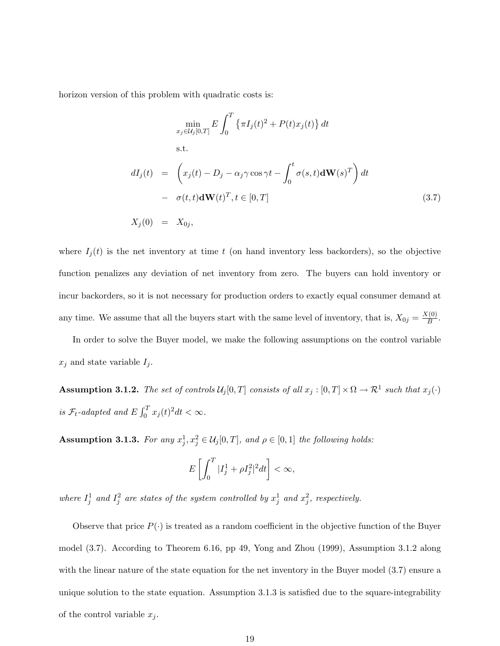horizon version of this problem with quadratic costs is:

$$
\min_{x_j \in \mathcal{U}_j[0,T]} E \int_0^T \left\{ \pi I_j(t)^2 + P(t)x_j(t) \right\} dt
$$
\ns.t.\n
$$
dI_j(t) = \left( x_j(t) - D_j - \alpha_j \gamma \cos \gamma t - \int_0^t \sigma(s, t) d\mathbf{W}(s)^T \right) dt
$$
\n
$$
- \sigma(t, t) d\mathbf{W}(t)^T, t \in [0, T]
$$
\n
$$
X_j(0) = X_{0j},
$$
\n(3.7)

where  $I_j(t)$  is the net inventory at time t (on hand inventory less backorders), so the objective function penalizes any deviation of net inventory from zero. The buyers can hold inventory or incur backorders, so it is not necessary for production orders to exactly equal consumer demand at any time. We assume that all the buyers start with the same level of inventory, that is,  $X_{0j} = \frac{X(0)}{B}$  $\frac{(0)}{B}$ .

In order to solve the Buyer model, we make the following assumptions on the control variable  $x_j$  and state variable  $I_j$ .

**Assumption 3.1.2.** The set of controls  $\mathcal{U}_j[0,T]$  consists of all  $x_j : [0,T] \times \Omega \to \mathcal{R}^1$  such that  $x_j(\cdot)$ is  $\mathcal{F}_t$ -adapted and  $E \int_0^T$  $\int_0^T x_j(t)^2 dt < \infty.$ 

**Assumption 3.1.3.** For any  $x_j^1, x_j^2 \in \mathcal{U}_j[0,T]$ , and  $\rho \in [0,1]$  the following holds:

$$
E\left[\int_0^T |I_j^1 + \rho I_j^2|^2 dt\right] < \infty,
$$

where  $I_j^1$  and  $I_j^2$  are states of the system controlled by  $x_j^1$  and  $x_j^2$ , respectively.

Observe that price  $P(\cdot)$  is treated as a random coefficient in the objective function of the Buyer model (3.7). According to Theorem 6.16, pp 49, Yong and Zhou (1999), Assumption 3.1.2 along with the linear nature of the state equation for the net inventory in the Buyer model (3.7) ensure a unique solution to the state equation. Assumption 3.1.3 is satisfied due to the square-integrability of the control variable  $x_i$ .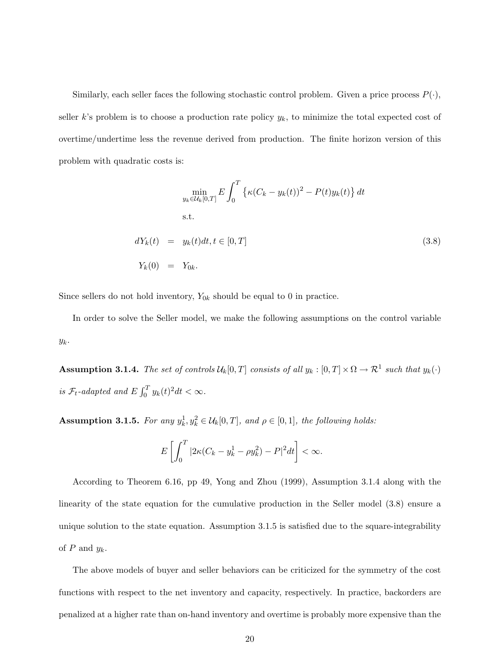Similarly, each seller faces the following stochastic control problem. Given a price process  $P(\cdot)$ , seller k's problem is to choose a production rate policy  $y_k$ , to minimize the total expected cost of overtime/undertime less the revenue derived from production. The finite horizon version of this problem with quadratic costs is:

$$
\min_{y_k \in \mathcal{U}_k[0,T]} E \int_0^T \left\{ \kappa (C_k - y_k(t))^2 - P(t) y_k(t) \right\} dt
$$
  
s.t.  

$$
dY_k(t) = y_k(t) dt, t \in [0,T]
$$
  

$$
Y_k(0) = Y_{0k}.
$$
 (3.8)

Since sellers do not hold inventory,  $Y_{0k}$  should be equal to 0 in practice.

In order to solve the Seller model, we make the following assumptions on the control variable  $y_k$ .

**Assumption 3.1.4.** The set of controls  $\mathcal{U}_k[0,T]$  consists of all  $y_k:[0,T]\times\Omega\to\mathcal{R}^1$  such that  $y_k(\cdot)$ is  $\mathcal{F}_t$ -adapted and E  $\int_0^T$  $v_0^T y_k(t)^2 dt < \infty.$ 

**Assumption 3.1.5.** For any  $y_k^1, y_k^2 \in \mathcal{U}_k[0,T]$ , and  $\rho \in [0,1]$ , the following holds:

$$
E\left[\int_0^T |2\kappa(C_k - y_k^1 - \rho y_k^2) - P|^2 dt\right] < \infty.
$$

According to Theorem 6.16, pp 49, Yong and Zhou (1999), Assumption 3.1.4 along with the linearity of the state equation for the cumulative production in the Seller model (3.8) ensure a unique solution to the state equation. Assumption 3.1.5 is satisfied due to the square-integrability of  $P$  and  $y_k$ .

The above models of buyer and seller behaviors can be criticized for the symmetry of the cost functions with respect to the net inventory and capacity, respectively. In practice, backorders are penalized at a higher rate than on-hand inventory and overtime is probably more expensive than the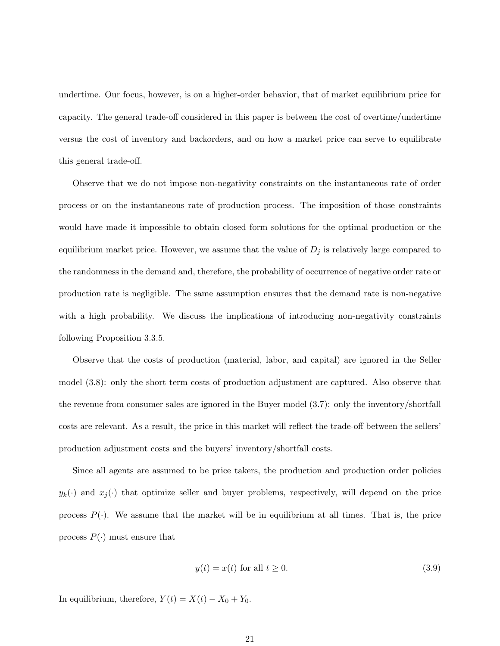undertime. Our focus, however, is on a higher-order behavior, that of market equilibrium price for capacity. The general trade-off considered in this paper is between the cost of overtime/undertime versus the cost of inventory and backorders, and on how a market price can serve to equilibrate this general trade-off.

Observe that we do not impose non-negativity constraints on the instantaneous rate of order process or on the instantaneous rate of production process. The imposition of those constraints would have made it impossible to obtain closed form solutions for the optimal production or the equilibrium market price. However, we assume that the value of  $D_j$  is relatively large compared to the randomness in the demand and, therefore, the probability of occurrence of negative order rate or production rate is negligible. The same assumption ensures that the demand rate is non-negative with a high probability. We discuss the implications of introducing non-negativity constraints following Proposition 3.3.5.

Observe that the costs of production (material, labor, and capital) are ignored in the Seller model (3.8): only the short term costs of production adjustment are captured. Also observe that the revenue from consumer sales are ignored in the Buyer model (3.7): only the inventory/shortfall costs are relevant. As a result, the price in this market will reflect the trade-off between the sellers' production adjustment costs and the buyers' inventory/shortfall costs.

Since all agents are assumed to be price takers, the production and production order policies  $y_k(\cdot)$  and  $x_j(\cdot)$  that optimize seller and buyer problems, respectively, will depend on the price process  $P(\cdot)$ . We assume that the market will be in equilibrium at all times. That is, the price process  $P(\cdot)$  must ensure that

$$
y(t) = x(t) \text{ for all } t \ge 0. \tag{3.9}
$$

In equilibrium, therefore,  $Y(t) = X(t) - X_0 + Y_0$ .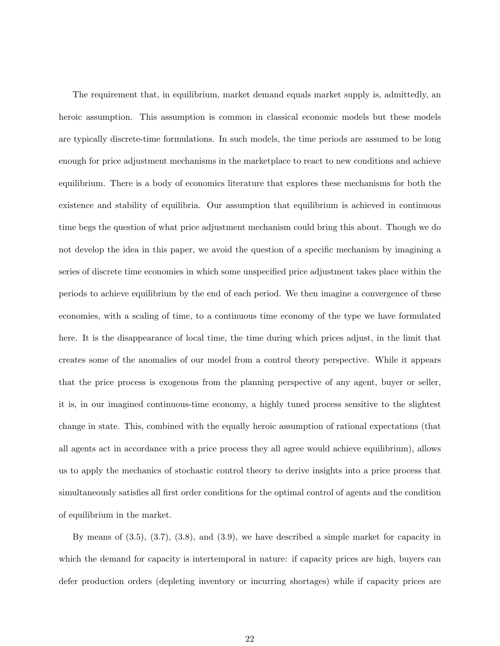The requirement that, in equilibrium, market demand equals market supply is, admittedly, an heroic assumption. This assumption is common in classical economic models but these models are typically discrete-time formulations. In such models, the time periods are assumed to be long enough for price adjustment mechanisms in the marketplace to react to new conditions and achieve equilibrium. There is a body of economics literature that explores these mechanisms for both the existence and stability of equilibria. Our assumption that equilibrium is achieved in continuous time begs the question of what price adjustment mechanism could bring this about. Though we do not develop the idea in this paper, we avoid the question of a specific mechanism by imagining a series of discrete time economies in which some unspecified price adjustment takes place within the periods to achieve equilibrium by the end of each period. We then imagine a convergence of these economies, with a scaling of time, to a continuous time economy of the type we have formulated here. It is the disappearance of local time, the time during which prices adjust, in the limit that creates some of the anomalies of our model from a control theory perspective. While it appears that the price process is exogenous from the planning perspective of any agent, buyer or seller, it is, in our imagined continuous-time economy, a highly tuned process sensitive to the slightest change in state. This, combined with the equally heroic assumption of rational expectations (that all agents act in accordance with a price process they all agree would achieve equilibrium), allows us to apply the mechanics of stochastic control theory to derive insights into a price process that simultaneously satisfies all first order conditions for the optimal control of agents and the condition of equilibrium in the market.

By means of  $(3.5)$ ,  $(3.7)$ ,  $(3.8)$ , and  $(3.9)$ , we have described a simple market for capacity in which the demand for capacity is intertemporal in nature: if capacity prices are high, buyers can defer production orders (depleting inventory or incurring shortages) while if capacity prices are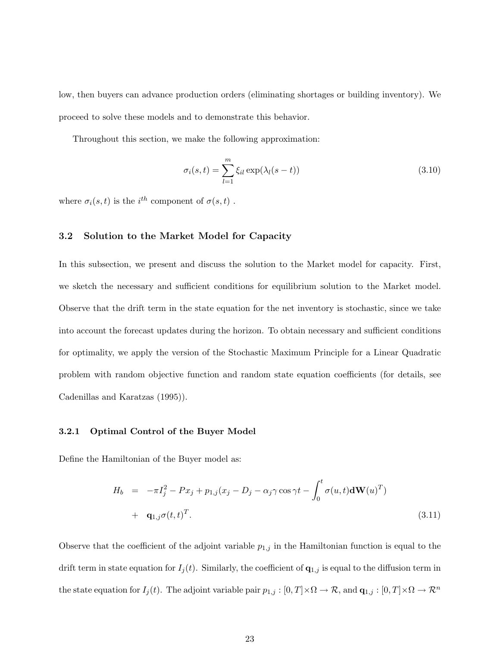low, then buyers can advance production orders (eliminating shortages or building inventory). We proceed to solve these models and to demonstrate this behavior.

Throughout this section, we make the following approximation:

$$
\sigma_i(s,t) = \sum_{l=1}^m \xi_{il} \exp(\lambda_l(s-t))
$$
\n(3.10)

where  $\sigma_i(s,t)$  is the  $i^{th}$  component of  $\sigma(s,t)$ .

#### 3.2 Solution to the Market Model for Capacity

In this subsection, we present and discuss the solution to the Market model for capacity. First, we sketch the necessary and sufficient conditions for equilibrium solution to the Market model. Observe that the drift term in the state equation for the net inventory is stochastic, since we take into account the forecast updates during the horizon. To obtain necessary and sufficient conditions for optimality, we apply the version of the Stochastic Maximum Principle for a Linear Quadratic problem with random objective function and random state equation coefficients (for details, see Cadenillas and Karatzas (1995)).

#### 3.2.1 Optimal Control of the Buyer Model

Define the Hamiltonian of the Buyer model as:

$$
H_b = -\pi I_j^2 - Px_j + p_{1,j}(x_j - D_j - \alpha_j \gamma \cos \gamma t - \int_0^t \sigma(u, t) d\mathbf{W}(u)^T)
$$
  
+  $\mathbf{q}_{1,j} \sigma(t, t)^T.$  (3.11)

Observe that the coefficient of the adjoint variable  $p_{1,j}$  in the Hamiltonian function is equal to the drift term in state equation for  $I_j(t)$ . Similarly, the coefficient of  $\mathbf{q}_{1,j}$  is equal to the diffusion term in the state equation for  $I_j(t)$ . The adjoint variable pair  $p_{1,j} : [0,T] \times \Omega \to \mathcal{R}$ , and  $\mathbf{q}_{1,j} : [0,T] \times \Omega \to \mathcal{R}^n$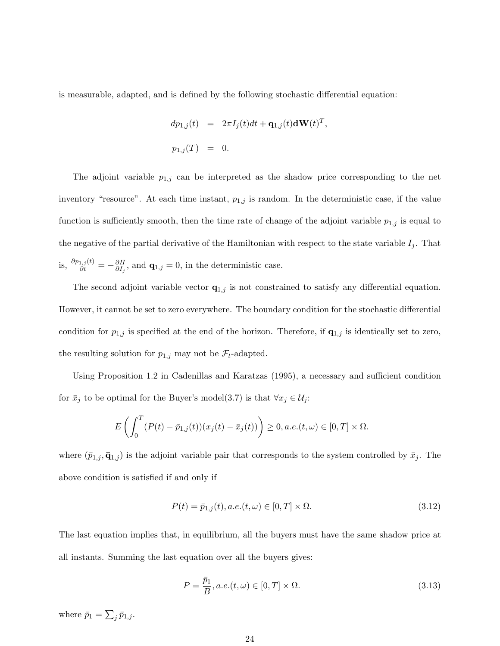is measurable, adapted, and is defined by the following stochastic differential equation:

$$
dp_{1,j}(t) = 2\pi I_j(t)dt + \mathbf{q}_{1,j}(t)\mathbf{d}\mathbf{W}(t)^T,
$$
  

$$
p_{1,j}(T) = 0.
$$

The adjoint variable  $p_{1,j}$  can be interpreted as the shadow price corresponding to the net inventory "resource". At each time instant,  $p_{1,j}$  is random. In the deterministic case, if the value function is sufficiently smooth, then the time rate of change of the adjoint variable  $p_{1,j}$  is equal to the negative of the partial derivative of the Hamiltonian with respect to the state variable  $I_i$ . That is,  $\frac{\partial p_{1,j}(t)}{\partial t} = -\frac{\partial H}{\partial I_j}$  $\frac{\partial H}{\partial I_j}$ , and  $\mathbf{q}_{1,j} = 0$ , in the deterministic case.

The second adjoint variable vector  $\mathbf{q}_{1,j}$  is not constrained to satisfy any differential equation. However, it cannot be set to zero everywhere. The boundary condition for the stochastic differential condition for  $p_{1,j}$  is specified at the end of the horizon. Therefore, if  $\mathbf{q}_{1,j}$  is identically set to zero, the resulting solution for  $p_{1,j}$  may not be  $\mathcal{F}_t$ -adapted.

Using Proposition 1.2 in Cadenillas and Karatzas (1995), a necessary and sufficient condition for  $\bar{x}_j$  to be optimal for the Buyer's model(3.7) is that  $\forall x_j \in U_j$ :

$$
E\left(\int_0^T (P(t) - \bar{p}_{1,j}(t))(x_j(t) - \bar{x}_j(t))\right) \ge 0, a.e.(t, \omega) \in [0, T] \times \Omega.
$$

where  $(\bar{p}_{1,j}, \bar{q}_{1,j})$  is the adjoint variable pair that corresponds to the system controlled by  $\bar{x}_j$ . The above condition is satisfied if and only if

$$
P(t) = \bar{p}_{1,j}(t), a.e.(t, \omega) \in [0, T] \times \Omega.
$$
\n(3.12)

The last equation implies that, in equilibrium, all the buyers must have the same shadow price at all instants. Summing the last equation over all the buyers gives:

$$
P = \frac{\bar{p}_1}{B}, a.e.(t, \omega) \in [0, T] \times \Omega.
$$
\n(3.13)

where  $\bar{p}_1 =$  $\overline{ }$  $j\,\overline{p}_{1,j}$ .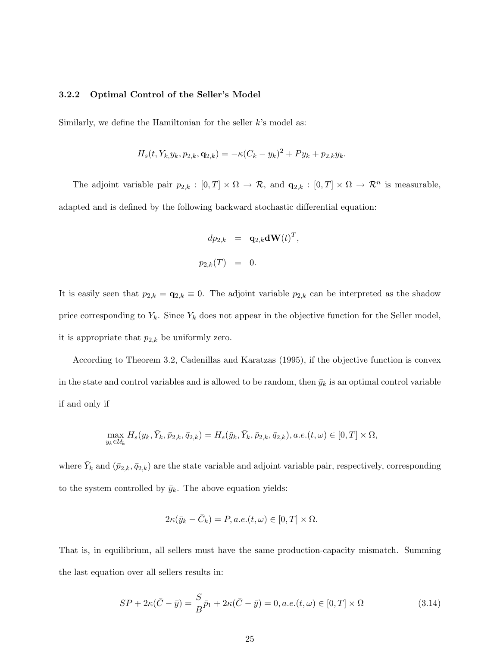#### 3.2.2 Optimal Control of the Seller's Model

Similarly, we define the Hamiltonian for the seller  $k$ 's model as:

$$
H_s(t, Y_{k,} y_k, p_{2,k}, \mathbf{q}_{2,k}) = -\kappa (C_k - y_k)^2 + Py_k + p_{2,k} y_k.
$$

The adjoint variable pair  $p_{2,k} : [0,T] \times \Omega \to \mathcal{R}$ , and  $\mathbf{q}_{2,k} : [0,T] \times \Omega \to \mathcal{R}^n$  is measurable, adapted and is defined by the following backward stochastic differential equation:

$$
dp_{2,k} = \mathbf{q}_{2,k} \mathbf{d} \mathbf{W}(t)^T,
$$
  

$$
p_{2,k}(T) = 0.
$$

It is easily seen that  $p_{2,k} = \mathbf{q}_{2,k} \equiv 0$ . The adjoint variable  $p_{2,k}$  can be interpreted as the shadow price corresponding to  $Y_k$ . Since  $Y_k$  does not appear in the objective function for the Seller model, it is appropriate that  $p_{2,k}$  be uniformly zero.

According to Theorem 3.2, Cadenillas and Karatzas (1995), if the objective function is convex in the state and control variables and is allowed to be random, then  $\bar{y}_k$  is an optimal control variable if and only if

$$
\max_{y_k \in \mathcal{U}_k} H_s(y_k, \bar{Y}_k, \bar{p}_{2,k}, \bar{q}_{2,k}) = H_s(\bar{y}_k, \bar{Y}_k, \bar{p}_{2,k}, \bar{q}_{2,k}), a.e.(t, \omega) \in [0, T] \times \Omega,
$$

where  $\bar{Y}_k$  and  $(\bar{p}_{2,k}, \bar{q}_{2,k})$  are the state variable and adjoint variable pair, respectively, corresponding to the system controlled by  $\bar{y}_k$ . The above equation yields:

$$
2\kappa(\bar{y}_k - \bar{C}_k) = P, a.e.(t, \omega) \in [0, T] \times \Omega.
$$

That is, in equilibrium, all sellers must have the same production-capacity mismatch. Summing the last equation over all sellers results in:

$$
SP + 2\kappa(\bar{C} - \bar{y}) = \frac{S}{B}\bar{p}_1 + 2\kappa(\bar{C} - \bar{y}) = 0, a.e.(t, \omega) \in [0, T] \times \Omega
$$
\n(3.14)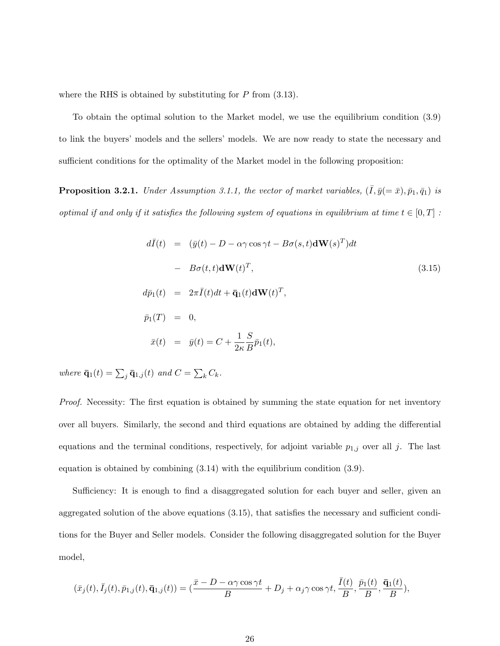where the RHS is obtained by substituting for  $P$  from  $(3.13)$ .

To obtain the optimal solution to the Market model, we use the equilibrium condition (3.9) to link the buyers' models and the sellers' models. We are now ready to state the necessary and sufficient conditions for the optimality of the Market model in the following proposition:

**Proposition 3.2.1.** Under Assumption 3.1.1, the vector of market variables,  $(\bar{I}, \bar{y}) = \bar{x}, \bar{p}_1, \bar{q}_1$  is optimal if and only if it satisfies the following system of equations in equilibrium at time  $t \in [0, T]$ :

$$
d\bar{I}(t) = (\bar{y}(t) - D - \alpha \gamma \cos \gamma t - B\sigma(s, t) \mathbf{d} \mathbf{W}(s)^{T}) dt
$$
  
\n
$$
- B\sigma(t, t) \mathbf{d} \mathbf{W}(t)^{T},
$$
  
\n
$$
d\bar{p}_1(t) = 2\pi \bar{I}(t) dt + \bar{\mathbf{q}}_1(t) \mathbf{d} \mathbf{W}(t)^{T},
$$
  
\n
$$
\bar{p}_1(T) = 0,
$$
  
\n
$$
\bar{x}(t) = \bar{y}(t) = C + \frac{1}{2\kappa} \frac{S}{B} \bar{p}_1(t),
$$
\n(3.15)

where  $\bar{\mathbf{q}}_1(t) = \sum_j \bar{\mathbf{q}}_{1,j}(t)$  and  $C =$  $\overline{ }$  $_k C_k$ .

Proof. Necessity: The first equation is obtained by summing the state equation for net inventory over all buyers. Similarly, the second and third equations are obtained by adding the differential equations and the terminal conditions, respectively, for adjoint variable  $p_{1,j}$  over all j. The last equation is obtained by combining (3.14) with the equilibrium condition (3.9).

Sufficiency: It is enough to find a disaggregated solution for each buyer and seller, given an aggregated solution of the above equations (3.15), that satisfies the necessary and sufficient conditions for the Buyer and Seller models. Consider the following disaggregated solution for the Buyer model,

$$
(\bar{x}_j(t), \bar{I}_j(t), \bar{p}_{1,j}(t), \bar{\mathbf{q}}_{1,j}(t)) = (\frac{\bar{x} - D - \alpha \gamma \cos \gamma t}{B} + D_j + \alpha_j \gamma \cos \gamma t, \frac{\bar{I}(t)}{B}, \frac{\bar{p}_1(t)}{B}, \frac{\bar{\mathbf{q}}_1(t)}{B}),
$$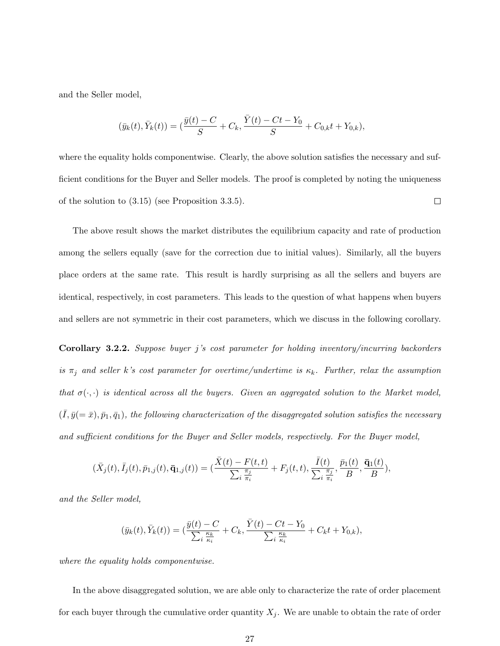and the Seller model,

$$
(\bar{y}_k(t), \bar{Y}_k(t)) = (\frac{\bar{y}(t) - C}{S} + C_k, \frac{\bar{Y}(t) - Ct - Y_0}{S} + C_{0,k}t + Y_{0,k}),
$$

where the equality holds componentwise. Clearly, the above solution satisfies the necessary and sufficient conditions for the Buyer and Seller models. The proof is completed by noting the uniqueness  $\Box$ of the solution to (3.15) (see Proposition 3.3.5).

The above result shows the market distributes the equilibrium capacity and rate of production among the sellers equally (save for the correction due to initial values). Similarly, all the buyers place orders at the same rate. This result is hardly surprising as all the sellers and buyers are identical, respectively, in cost parameters. This leads to the question of what happens when buyers and sellers are not symmetric in their cost parameters, which we discuss in the following corollary.

Corollary 3.2.2. Suppose buyer j's cost parameter for holding inventory/incurring backorders is  $\pi_j$  and seller k's cost parameter for overtime/undertime is  $\kappa_k$ . Further, relax the assumption that  $\sigma(\cdot, \cdot)$  is identical across all the buyers. Given an aggregated solution to the Market model,  $(\bar{I}, \bar{y}(=\bar{x}), \bar{p}_1, \bar{q}_1)$ , the following characterization of the disaggregated solution satisfies the necessary and sufficient conditions for the Buyer and Seller models, respectively. For the Buyer model,

$$
(\bar{X}_j(t), \bar{I}_j(t), \bar{p}_{1,j}(t), \bar{\mathbf{q}}_{1,j}(t)) = (\frac{\bar{X}(t) - F(t, t)}{\sum_i \frac{\pi_j}{\pi_i}} + F_j(t, t), \frac{\bar{I}(t)}{\sum_i \frac{\pi_j}{\pi_i}}, \frac{\bar{p}_1(t)}{B}, \frac{\bar{\mathbf{q}}_1(t)}{B}),
$$

and the Seller model,

$$
(\bar{y}_k(t), \bar{Y}_k(t)) = (\frac{\bar{y}(t) - C}{\sum_i \frac{\kappa_k}{\kappa_i}} + C_k, \frac{\bar{Y}(t) - Ct - Y_0}{\sum_i \frac{\kappa_k}{\kappa_i}} + C_k t + Y_{0,k}),
$$

where the equality holds componentwise.

In the above disaggregated solution, we are able only to characterize the rate of order placement for each buyer through the cumulative order quantity  $X_j$ . We are unable to obtain the rate of order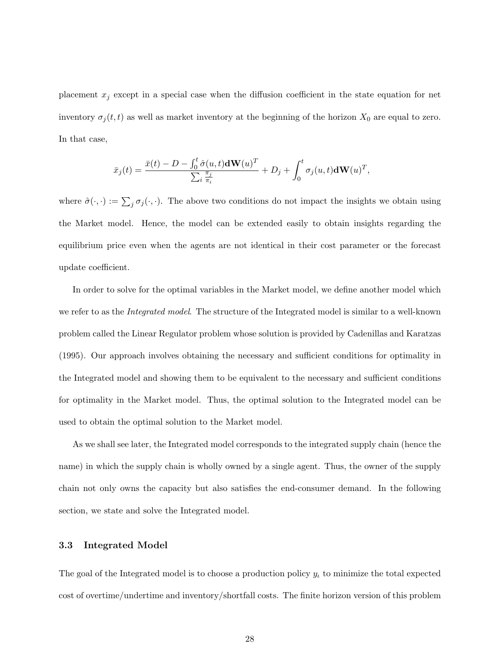placement  $x_j$  except in a special case when the diffusion coefficient in the state equation for net inventory  $\sigma_j(t, t)$  as well as market inventory at the beginning of the horizon  $X_0$  are equal to zero. In that case,

$$
\bar{x}_j(t) = \frac{\bar{x}(t) - D - \int_0^t \hat{\sigma}(u, t) d\mathbf{W}(u)^T}{\sum_i \frac{\pi_j}{\pi_i}} + D_j + \int_0^t \sigma_j(u, t) d\mathbf{W}(u)^T,
$$

where  $\hat{\sigma}(\cdot,\cdot) := \sum_j \sigma_j(\cdot,\cdot)$ . The above two conditions do not impact the insights we obtain using the Market model. Hence, the model can be extended easily to obtain insights regarding the equilibrium price even when the agents are not identical in their cost parameter or the forecast update coefficient.

In order to solve for the optimal variables in the Market model, we define another model which we refer to as the *Integrated model*. The structure of the Integrated model is similar to a well-known problem called the Linear Regulator problem whose solution is provided by Cadenillas and Karatzas (1995). Our approach involves obtaining the necessary and sufficient conditions for optimality in the Integrated model and showing them to be equivalent to the necessary and sufficient conditions for optimality in the Market model. Thus, the optimal solution to the Integrated model can be used to obtain the optimal solution to the Market model.

As we shall see later, the Integrated model corresponds to the integrated supply chain (hence the name) in which the supply chain is wholly owned by a single agent. Thus, the owner of the supply chain not only owns the capacity but also satisfies the end-consumer demand. In the following section, we state and solve the Integrated model.

#### 3.3 Integrated Model

The goal of the Integrated model is to choose a production policy  $y_t$  to minimize the total expected cost of overtime/undertime and inventory/shortfall costs. The finite horizon version of this problem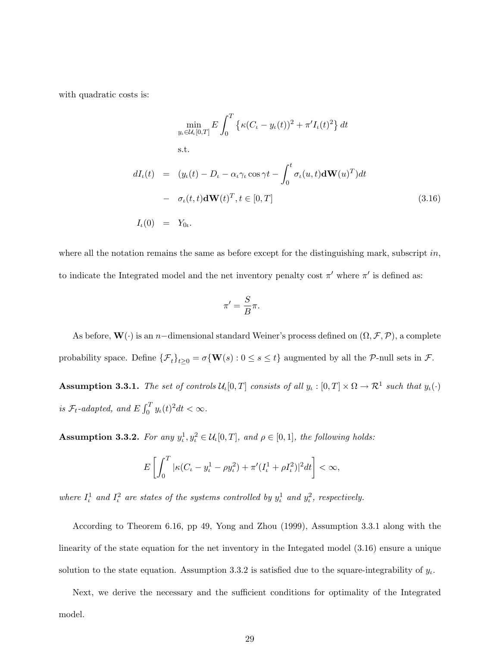with quadratic costs is:

$$
\min_{y_{\iota} \in \mathcal{U}_{\iota}[0,T]} E \int_0^T \left\{ \kappa (C_{\iota} - y_{\iota}(t))^2 + \pi' I_{\iota}(t)^2 \right\} dt
$$
\ns.t.\n
$$
dI_{\iota}(t) = (y_{\iota}(t) - D_{\iota} - \alpha_{\iota} \gamma_{\iota} \cos \gamma t - \int_0^t \sigma_{\iota}(u, t) \mathbf{d} \mathbf{W}(u)^T) dt
$$
\n
$$
- \sigma_{\iota}(t, t) \mathbf{d} \mathbf{W}(t)^T, t \in [0, T]
$$
\n(3.16)\n
$$
I_{\iota}(0) = Y_{0\iota}.
$$

where all the notation remains the same as before except for the distinguishing mark, subscript in, to indicate the Integrated model and the net inventory penalty cost  $\pi'$  where  $\pi'$  is defined as:

$$
\pi' = \frac{S}{B}\pi.
$$

As before,  $\mathbf{W}(\cdot)$  is an n-dimensional standard Weiner's process defined on  $(\Omega, \mathcal{F}, \mathcal{P})$ , a complete probability space. Define  $\{\mathcal{F}_t\}_{t\geq 0} = \sigma\{\mathbf{W}(s): 0 \leq s \leq t\}$  augmented by all the P-null sets in F.

**Assumption 3.3.1.** The set of controls  $\mathcal{U}_t[0,T]$  consists of all  $y_t:[0,T] \times \Omega \to \mathcal{R}^1$  such that  $y_t(\cdot)$ is  $\mathcal{F}_t$ -adapted, and  $E \int_0^T$  $\int_0^T y_t(t)^2 dt < \infty.$ 

**Assumption 3.3.2.** For any  $y_t^1, y_t^2 \in \mathcal{U}_t[0,T]$ , and  $\rho \in [0,1]$ , the following holds:

$$
E\left[\int_0^T |\kappa(C_t - y_t^1 - \rho y_t^2) + \pi'(I_t^1 + \rho I_t^2)|^2 dt\right] < \infty,
$$

where  $I_t^1$  and  $I_t^2$  are states of the systems controlled by  $y_t^1$  and  $y_t^2$ , respectively.

According to Theorem 6.16, pp 49, Yong and Zhou (1999), Assumption 3.3.1 along with the linearity of the state equation for the net inventory in the Integated model (3.16) ensure a unique solution to the state equation. Assumption 3.3.2 is satisfied due to the square-integrability of  $y_{\iota}$ .

Next, we derive the necessary and the sufficient conditions for optimality of the Integrated model.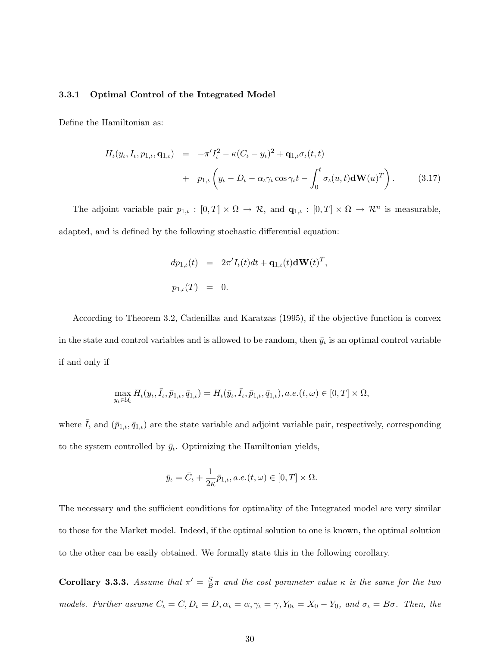#### 3.3.1 Optimal Control of the Integrated Model

Define the Hamiltonian as:

$$
H_{\iota}(y_{\iota}, I_{\iota}, p_{1,\iota}, \mathbf{q}_{1,\iota}) = -\pi' I_{\iota}^2 - \kappa (C_{\iota} - y_{\iota})^2 + \mathbf{q}_{1,\iota} \sigma_{\iota}(t, t) + p_{1,\iota} \left( y_{\iota} - D_{\iota} - \alpha_{\iota} \gamma_{\iota} \cos \gamma_{\iota} t - \int_0^t \sigma_{\iota}(u, t) \mathbf{d} \mathbf{W}(u)^T \right).
$$
 (3.17)

The adjoint variable pair  $p_{1,\iota} : [0,T] \times \Omega \to \mathcal{R}$ , and  $\mathbf{q}_{1,\iota} : [0,T] \times \Omega \to \mathcal{R}^n$  is measurable, adapted, and is defined by the following stochastic differential equation:

$$
dp_{1,\iota}(t) = 2\pi' I_{\iota}(t)dt + \mathbf{q}_{1,\iota}(t)\mathbf{d}\mathbf{W}(t)^{T},
$$
  

$$
p_{1,\iota}(T) = 0.
$$

According to Theorem 3.2, Cadenillas and Karatzas (1995), if the objective function is convex in the state and control variables and is allowed to be random, then  $\bar{y}_t$  is an optimal control variable if and only if

$$
\max_{y_{\iota} \in \mathcal{U}_{t}} H_{\iota}(y_{\iota}, \bar{I}_{\iota}, \bar{p}_{1,\iota}, \bar{q}_{1,\iota}) = H_{\iota}(\bar{y}_{\iota}, \bar{I}_{\iota}, \bar{p}_{1,\iota}, \bar{q}_{1,\iota}), a.e.(t, \omega) \in [0, T] \times \Omega,
$$

where  $\bar{I}_i$  and  $(\bar{p}_{1,t}, \bar{q}_{1,t})$  are the state variable and adjoint variable pair, respectively, corresponding to the system controlled by  $\bar{y}_t$ . Optimizing the Hamiltonian yields,

$$
\bar{y}_{\iota} = \bar{C}_{\iota} + \frac{1}{2\kappa} \bar{p}_{1,\iota}, a.e.(t,\omega) \in [0,T] \times \Omega.
$$

The necessary and the sufficient conditions for optimality of the Integrated model are very similar to those for the Market model. Indeed, if the optimal solution to one is known, the optimal solution to the other can be easily obtained. We formally state this in the following corollary.

Corollary 3.3.3. Assume that  $\pi' = \frac{S}{B}$  $\frac{S}{B}\pi$  and the cost parameter value  $\kappa$  is the same for the two models. Further assume  $C_t = C$ ,  $D_t = D$ ,  $\alpha_t = \alpha$ ,  $\gamma_t = \gamma$ ,  $Y_{0t} = X_0 - Y_0$ , and  $\sigma_t = B\sigma$ . Then, the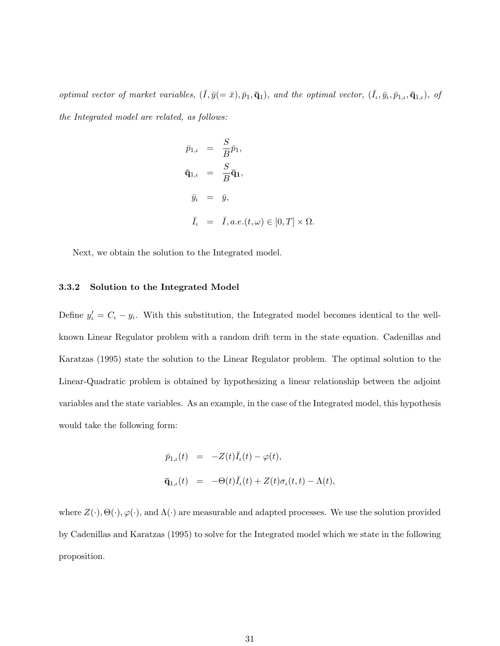optimal vector of market variables,  $(\bar{I}, \bar{y} (= \bar{x}), \bar{p}_1, \bar{q}_1)$ , and the optimal vector,  $(\bar{I}_\iota, \bar{y}_\iota, \bar{p}_{1,\iota}, \bar{q}_{1,\iota})$ , of the Integrated model are related, as follows:

$$
\begin{aligned}\n\bar{p}_{1,\iota} &= \frac{S}{B}\bar{p}_1, \\
\bar{\mathbf{q}}_{1,\iota} &= \frac{S}{B}\bar{\mathbf{q}}_1, \\
\bar{y}_{\iota} &= \bar{y}, \\
\bar{I}_{\iota} &= \bar{I}, a.e.(t,\omega) \in [0,T] \times \Omega.\n\end{aligned}
$$

Next, we obtain the solution to the Integrated model.

#### 3.3.2 Solution to the Integrated Model

Define  $y'_i = C_i - y_i$ . With this substitution, the Integrated model becomes identical to the wellknown Linear Regulator problem with a random drift term in the state equation. Cadenillas and Karatzas (1995) state the solution to the Linear Regulator problem. The optimal solution to the Linear-Quadratic problem is obtained by hypothesizing a linear relationship between the adjoint variables and the state variables. As an example, in the case of the Integrated model, this hypothesis would take the following form:

$$
\begin{array}{rcl}\bar{p}_{1,\iota}(t) & = & -Z(t)\bar{I}_{\iota}(t) - \varphi(t), \\
\bar{\mathbf{q}}_{1,\iota}(t) & = & -\Theta(t)\bar{I}_{\iota}(t) + Z(t)\sigma_{\iota}(t,t) - \Lambda(t),\n\end{array}
$$

where  $Z(\cdot), \Theta(\cdot), \varphi(\cdot)$ , and  $\Lambda(\cdot)$  are measurable and adapted processes. We use the solution provided by Cadenillas and Karatzas (1995) to solve for the Integrated model which we state in the following proposition.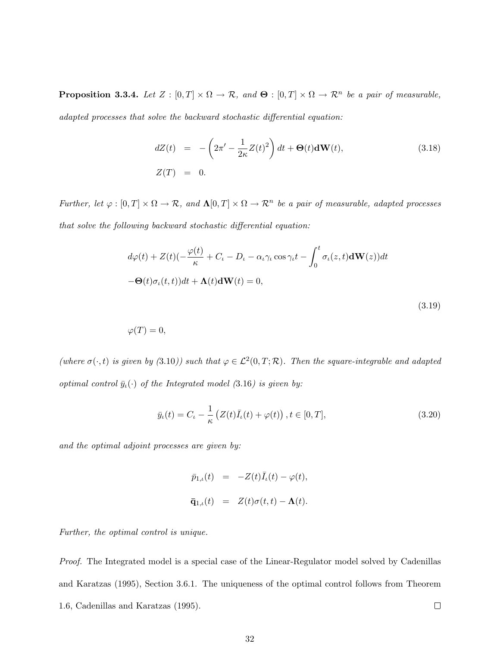**Proposition 3.3.4.** Let  $Z : [0,T] \times \Omega \to \mathcal{R}$ , and  $\Theta : [0,T] \times \Omega \to \mathcal{R}^n$  be a pair of measurable, adapted processes that solve the backward stochastic differential equation:

$$
dZ(t) = -\left(2\pi' - \frac{1}{2\kappa}Z(t)^2\right)dt + \Theta(t)d\mathbf{W}(t),
$$
\n(3.18)  
\n
$$
Z(T) = 0.
$$

Further, let  $\varphi : [0, T] \times \Omega \to \mathcal{R}$ , and  $\Lambda[0, T] \times \Omega \to \mathcal{R}^n$  be a pair of measurable, adapted processes that solve the following backward stochastic differential equation:

$$
d\varphi(t) + Z(t)(-\frac{\varphi(t)}{\kappa} + C_t - D_t - \alpha_t \gamma_t \cos \gamma_t t - \int_0^t \sigma_t(z, t) \mathbf{d} \mathbf{W}(z)) dt
$$
  
- $\Theta(t)\sigma_t(t, t)dt + \Lambda(t)\mathbf{d} \mathbf{W}(t) = 0,$  (3.19)

$$
\varphi(T)=0,
$$

(where  $\sigma(\cdot,t)$  is given by (3.10)) such that  $\varphi \in \mathcal{L}^2(0,T;\mathcal{R})$ . Then the square-integrable and adapted optimal control  $\bar{y}_i(\cdot)$  of the Integrated model (3.16) is given by:

$$
\bar{y}_{\iota}(t) = C_{\iota} - \frac{1}{\kappa} \left( Z(t)\bar{I}_{\iota}(t) + \varphi(t) \right), t \in [0, T], \tag{3.20}
$$

and the optimal adjoint processes are given by:

$$
\bar{p}_{1,\iota}(t) = -Z(t)\bar{I}_{\iota}(t) - \varphi(t),
$$
  

$$
\bar{\mathbf{q}}_{1,\iota}(t) = Z(t)\sigma(t,t) - \mathbf{\Lambda}(t).
$$

Further, the optimal control is unique.

Proof. The Integrated model is a special case of the Linear-Regulator model solved by Cadenillas and Karatzas (1995), Section 3.6.1. The uniqueness of the optimal control follows from Theorem 1.6, Cadenillas and Karatzas (1995).  $\Box$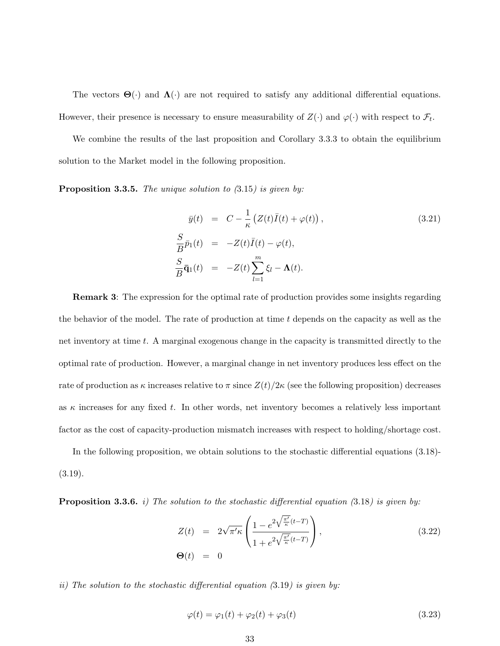The vectors  $\Theta(\cdot)$  and  $\Lambda(\cdot)$  are not required to satisfy any additional differential equations. However, their presence is necessary to ensure measurability of  $Z(\cdot)$  and  $\varphi(\cdot)$  with respect to  $\mathcal{F}_t$ .

We combine the results of the last proposition and Corollary 3.3.3 to obtain the equilibrium solution to the Market model in the following proposition.

**Proposition 3.3.5.** The unique solution to  $(3.15)$  is given by:

$$
\bar{y}(t) = C - \frac{1}{\kappa} \left( Z(t)\bar{I}(t) + \varphi(t) \right),
$$
\n
$$
\frac{S}{B}\bar{p}_1(t) = -Z(t)\bar{I}(t) - \varphi(t),
$$
\n
$$
\frac{S}{B}\bar{q}_1(t) = -Z(t)\sum_{l=1}^m \xi_l - \Lambda(t).
$$
\n(3.21)

Remark 3: The expression for the optimal rate of production provides some insights regarding the behavior of the model. The rate of production at time  $t$  depends on the capacity as well as the net inventory at time t. A marginal exogenous change in the capacity is transmitted directly to the optimal rate of production. However, a marginal change in net inventory produces less effect on the rate of production as  $\kappa$  increases relative to  $\pi$  since  $Z(t)/2\kappa$  (see the following proposition) decreases as  $\kappa$  increases for any fixed t. In other words, net inventory becomes a relatively less important factor as the cost of capacity-production mismatch increases with respect to holding/shortage cost.

In the following proposition, we obtain solutions to the stochastic differential equations (3.18)-  $(3.19).$ 

**Proposition 3.3.6.** i) The solution to the stochastic differential equation  $(3.18)$  is given by:

$$
Z(t) = 2\sqrt{\pi' \kappa} \left( \frac{1 - e^{2\sqrt{\frac{\pi'}{\kappa}}(t-T)}}{1 + e^{2\sqrt{\frac{\pi'}{\kappa}}(t-T)}} \right),
$$
\n(3.22)\n  
\n
$$
\Theta(t) = 0
$$

ii) The solution to the stochastic differential equation  $(3.19)$  is given by:

$$
\varphi(t) = \varphi_1(t) + \varphi_2(t) + \varphi_3(t) \tag{3.23}
$$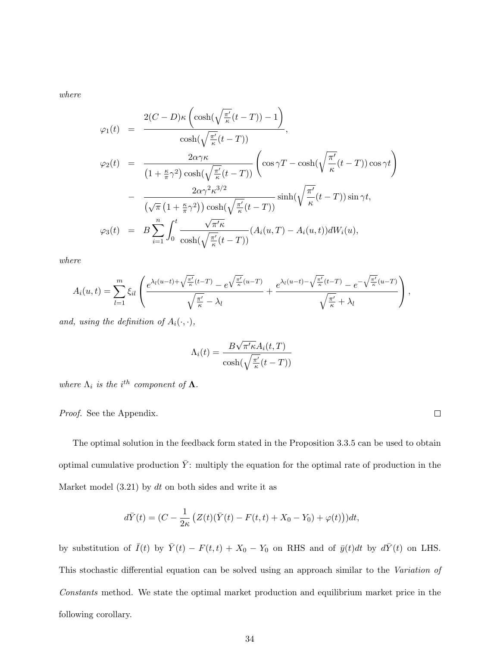where

$$
\varphi_1(t) = \frac{2(C-D)\kappa \left(\cosh(\sqrt{\frac{\pi'}{\kappa}}(t-T)) - 1\right)}{\cosh(\sqrt{\frac{\pi'}{\kappa}}(t-T))},
$$
  
\n
$$
\varphi_2(t) = \frac{2\alpha\gamma\kappa}{\left(1 + \frac{\kappa}{\pi}\gamma^2\right)\cosh(\sqrt{\frac{\pi'}{\kappa}}(t-T))} \left(\cos\gamma T - \cosh(\sqrt{\frac{\pi'}{\kappa}}(t-T))\cos\gamma t\right)
$$
  
\n
$$
-\frac{2\alpha\gamma^2\kappa^{3/2}}{(\sqrt{\pi}\left(1 + \frac{\kappa}{\pi}\gamma^2\right))\cosh(\sqrt{\frac{\pi'}{\kappa}}(t-T))}\sinh(\sqrt{\frac{\pi'}{\kappa}}(t-T))\sin\gamma t,
$$
  
\n
$$
\varphi_3(t) = B\sum_{i=1}^n \int_0^t \frac{\sqrt{\pi'\kappa}}{\cosh(\sqrt{\frac{\pi'}{\kappa}}(t-T))} (A_i(u,T) - A_i(u,t))dW_i(u),
$$

where

$$
A_i(u,t) = \sum_{l=1}^m \xi_{il} \left( \frac{e^{\lambda_l(u-t) + \sqrt{\frac{\pi'}{\kappa}}(t-T)} - e^{\sqrt{\frac{\pi'}{\kappa}}(u-T)}}{\sqrt{\frac{\pi'}{\kappa}} - \lambda_l} + \frac{e^{\lambda_l(u-t) - \sqrt{\frac{\pi'}{\kappa}}(t-T)} - e^{-\sqrt{\frac{\pi'}{\kappa}}(u-T)}}{\sqrt{\frac{\pi'}{\kappa}} + \lambda_l} \right),
$$

and, using the definition of  $A_i(\cdot, \cdot)$ ,

$$
\Lambda_i(t) = \frac{B\sqrt{\pi'\kappa}A_i(t,T)}{\cosh(\sqrt{\frac{\pi'}{\kappa}}(t-T))}
$$

where  $\Lambda_i$  is the i<sup>th</sup> component of  $\Lambda$ .

Proof. See the Appendix.

The optimal solution in the feedback form stated in the Proposition 3.3.5 can be used to obtain optimal cumulative production  $\bar{Y}$ : multiply the equation for the optimal rate of production in the Market model  $(3.21)$  by dt on both sides and write it as

$$
d\bar{Y}(t) = (C - \frac{1}{2\kappa} (Z(t)(\bar{Y}(t) - F(t, t) + X_0 - Y_0) + \varphi(t)))dt,
$$

by substitution of  $\bar{I}(t)$  by  $\bar{Y}(t) - F(t, t) + X_0 - Y_0$  on RHS and of  $\bar{y}(t)dt$  by  $d\bar{Y}(t)$  on LHS. This stochastic differential equation can be solved using an approach similar to the Variation of Constants method. We state the optimal market production and equilibrium market price in the following corollary.

 $\Box$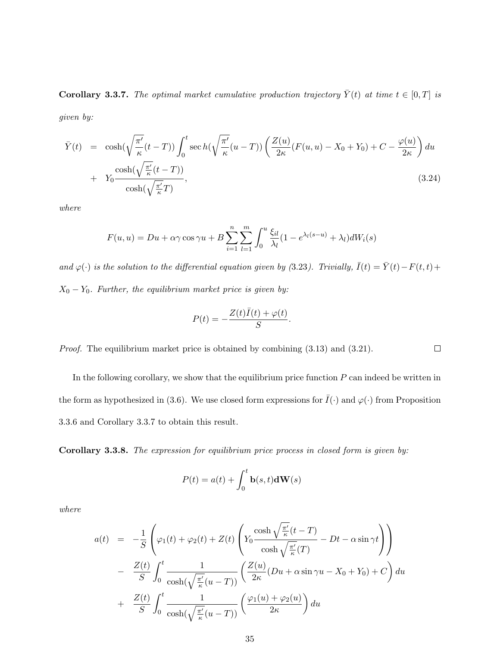**Corollary 3.3.7.** The optimal market cumulative production trajectory  $\bar{Y}(t)$  at time  $t \in [0, T]$  is given by:

$$
\bar{Y}(t) = \cosh(\sqrt{\frac{\pi'}{\kappa}}(t-T)) \int_0^t \sec h(\sqrt{\frac{\pi'}{\kappa}}(u-T)) \left(\frac{Z(u)}{2\kappa}(F(u,u) - X_0 + Y_0) + C - \frac{\varphi(u)}{2\kappa}\right) du \n+ Y_0 \frac{\cosh(\sqrt{\frac{\pi'}{\kappa}}(t-T))}{\cosh(\sqrt{\frac{\pi'}{\kappa}}T)},
$$
\n(3.24)

where

$$
F(u, u) = Du + \alpha \gamma \cos \gamma u + B \sum_{i=1}^{n} \sum_{l=1}^{m} \int_{0}^{u} \frac{\xi_{il}}{\lambda_{l}} (1 - e^{\lambda_{l}(s-u)} + \lambda_{l}) dW_{i}(s)
$$

and  $\varphi(\cdot)$  is the solution to the differential equation given by (3.23). Trivially,  $\bar{I}(t) = \bar{Y}(t) - F(t, t) +$  $X_0 - Y_0$ . Further, the equilibrium market price is given by:

$$
P(t) = -\frac{Z(t)\bar{I}(t) + \varphi(t)}{S}.
$$

Proof. The equilibrium market price is obtained by combining  $(3.13)$  and  $(3.21)$ .

 $\Box$ 

In the following corollary, we show that the equilibrium price function  $P$  can indeed be written in the form as hypothesized in (3.6). We use closed form expressions for  $\bar{I}(\cdot)$  and  $\varphi(\cdot)$  from Proposition 3.3.6 and Corollary 3.3.7 to obtain this result.

Corollary 3.3.8. The expression for equilibrium price process in closed form is given by:

$$
P(t) = a(t) + \int_0^t \mathbf{b}(s, t) \mathbf{d} \mathbf{W}(s)
$$

where

$$
a(t) = -\frac{1}{S} \left( \varphi_1(t) + \varphi_2(t) + Z(t) \left( Y_0 \frac{\cosh \sqrt{\frac{\pi'}{\kappa}}(t - T)}{\cosh \sqrt{\frac{\pi'}{\kappa}}(T)} - Dt - \alpha \sin \gamma t \right) \right)
$$
  

$$
- \frac{Z(t)}{S} \int_0^t \frac{1}{\cosh(\sqrt{\frac{\pi'}{\kappa}}(u - T))} \left( \frac{Z(u)}{2\kappa} (Du + \alpha \sin \gamma u - X_0 + Y_0) + C \right) du
$$
  

$$
+ \frac{Z(t)}{S} \int_0^t \frac{1}{\cosh(\sqrt{\frac{\pi'}{\kappa}}(u - T))} \left( \frac{\varphi_1(u) + \varphi_2(u)}{2\kappa} \right) du
$$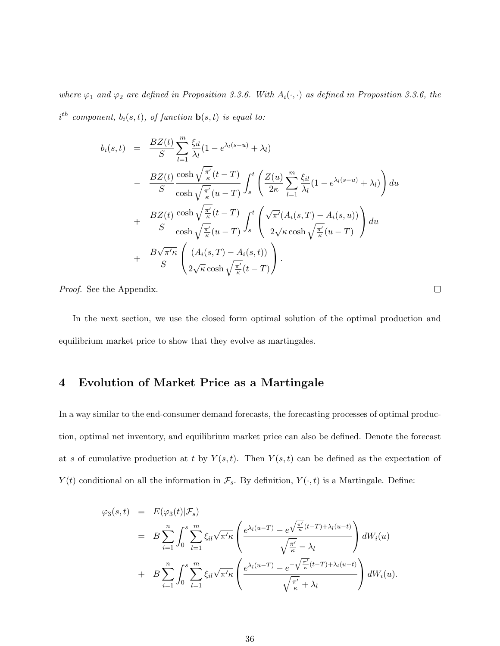where  $\varphi_1$  and  $\varphi_2$  are defined in Proposition 3.3.6. With  $A_i(\cdot, \cdot)$  as defined in Proposition 3.3.6, the  $i^{th}$  component,  $b_i(s,t)$ , of function  $\mathbf{b}(s,t)$  is equal to:

$$
b_i(s,t) = \frac{BZ(t)}{S} \sum_{l=1}^m \frac{\xi_{il}}{\lambda_l} (1 - e^{\lambda_l(s-u)} + \lambda_l)
$$
  
- 
$$
\frac{BZ(t)}{S} \frac{\cosh \sqrt{\frac{\pi'}{\kappa}}(t-T)}{\cosh \sqrt{\frac{\pi'}{\kappa}}(u-T)} \int_s^t \left( \frac{Z(u)}{2\kappa} \sum_{l=1}^m \frac{\xi_{il}}{\lambda_l} (1 - e^{\lambda_l(s-u)} + \lambda_l) \right) du
$$
  
+ 
$$
\frac{BZ(t)}{S} \frac{\cosh \sqrt{\frac{\pi'}{\kappa}}(t-T)}{\cosh \sqrt{\frac{\pi'}{\kappa}}(u-T)} \int_s^t \left( \frac{\sqrt{\pi'}(A_i(s,T) - A_i(s,u))}{2\sqrt{\kappa} \cosh \sqrt{\frac{\pi'}{\kappa}}(u-T)} \right) du
$$
  
+ 
$$
\frac{B\sqrt{\pi'}\kappa}{S} \left( \frac{(A_i(s,T) - A_i(s,t))}{2\sqrt{\kappa} \cosh \sqrt{\frac{\pi'}{\kappa}}(t-T)} \right).
$$

Proof. See the Appendix.

In the next section, we use the closed form optimal solution of the optimal production and equilibrium market price to show that they evolve as martingales.

 $\Box$ 

# 4 Evolution of Market Price as a Martingale

In a way similar to the end-consumer demand forecasts, the forecasting processes of optimal production, optimal net inventory, and equilibrium market price can also be defined. Denote the forecast at s of cumulative production at t by  $Y(s,t)$ . Then  $Y(s,t)$  can be defined as the expectation of  $Y(t)$  conditional on all the information in  $\mathcal{F}_s$ . By definition,  $Y(\cdot, t)$  is a Martingale. Define:

$$
\varphi_3(s,t) = E(\varphi_3(t)|\mathcal{F}_s)
$$
  
\n
$$
= B \sum_{i=1}^n \int_0^s \sum_{l=1}^m \xi_{il} \sqrt{\pi/\kappa} \left( \frac{e^{\lambda_l(u-T)} - e^{\sqrt{\frac{\pi'}{\kappa}}(t-T) + \lambda_l(u-t)}}{\sqrt{\frac{\pi'}{\kappa}} - \lambda_l} \right) dW_i(u)
$$
  
\n
$$
+ B \sum_{i=1}^n \int_0^s \sum_{l=1}^m \xi_{il} \sqrt{\pi/\kappa} \left( \frac{e^{\lambda_l(u-T)} - e^{-\sqrt{\frac{\pi'}{\kappa}}(t-T) + \lambda_l(u-t)}}{\sqrt{\frac{\pi'}{\kappa}} + \lambda_l} \right) dW_i(u).
$$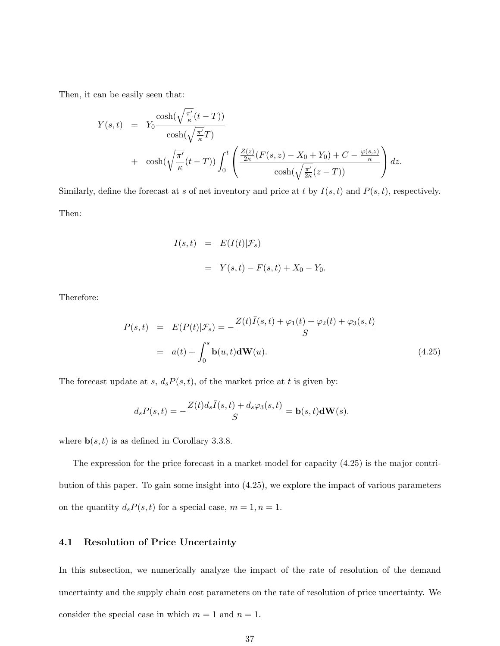Then, it can be easily seen that:

$$
Y(s,t) = Y_0 \frac{\cosh(\sqrt{\frac{\pi'}{\kappa}}(t-T))}{\cosh(\sqrt{\frac{\pi'}{\kappa}}T)}
$$
  
+ 
$$
\cosh(\sqrt{\frac{\pi'}{\kappa}}(t-T)) \int_0^t \left( \frac{\frac{Z(z)}{2\kappa}(F(s,z) - X_0 + Y_0) + C - \frac{\varphi(s,z)}{\kappa}}{\cosh(\sqrt{\frac{\pi'}{2\kappa}}(z-T))} \right) dz.
$$

Similarly, define the forecast at s of net inventory and price at t by  $I(s,t)$  and  $P(s,t)$ , respectively. Then:

$$
I(s,t) = E(I(t)|\mathcal{F}_s)
$$
  
=  $Y(s,t) - F(s,t) + X_0 - Y_0.$ 

Therefore:

$$
P(s,t) = E(P(t)|\mathcal{F}_s) = -\frac{Z(t)\bar{I}(s,t) + \varphi_1(t) + \varphi_2(t) + \varphi_3(s,t)}{S}
$$

$$
= a(t) + \int_0^s \mathbf{b}(u,t) \mathbf{d} \mathbf{W}(u).
$$
(4.25)

The forecast update at s,  $d_s P(s, t)$ , of the market price at t is given by:

$$
d_sP(s,t)=-\frac{Z(t)d_s\bar{I}(s,t)+d_s\varphi_3(s,t)}{S}=\mathbf{b}(s,t)\mathbf{dW}(s).
$$

where  $\mathbf{b}(s,t)$  is as defined in Corollary 3.3.8.

The expression for the price forecast in a market model for capacity (4.25) is the major contribution of this paper. To gain some insight into (4.25), we explore the impact of various parameters on the quantity  $d_s P(s, t)$  for a special case,  $m = 1, n = 1$ .

#### 4.1 Resolution of Price Uncertainty

In this subsection, we numerically analyze the impact of the rate of resolution of the demand uncertainty and the supply chain cost parameters on the rate of resolution of price uncertainty. We consider the special case in which  $m = 1$  and  $n = 1$ .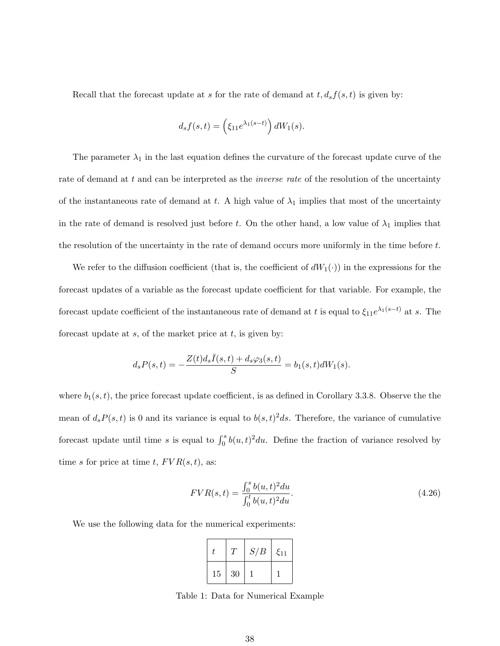Recall that the forecast update at s for the rate of demand at  $t, d_s f(s, t)$  is given by:

$$
d_s f(s,t) = \left(\xi_{11} e^{\lambda_1(s-t)}\right) dW_1(s).
$$

The parameter  $\lambda_1$  in the last equation defines the curvature of the forecast update curve of the rate of demand at t and can be interpreted as the *inverse rate* of the resolution of the uncertainty of the instantaneous rate of demand at t. A high value of  $\lambda_1$  implies that most of the uncertainty in the rate of demand is resolved just before t. On the other hand, a low value of  $\lambda_1$  implies that the resolution of the uncertainty in the rate of demand occurs more uniformly in the time before  $t$ .

We refer to the diffusion coefficient (that is, the coefficient of  $dW_1(\cdot)$ ) in the expressions for the forecast updates of a variable as the forecast update coefficient for that variable. For example, the forecast update coefficient of the instantaneous rate of demand at t is equal to  $\xi_{11}e^{\lambda_1(s-t)}$  at s. The forecast update at  $s$ , of the market price at  $t$ , is given by:

$$
d_s P(s,t) = -\frac{Z(t)d_s \bar{I}(s,t) + d_s \varphi_3(s,t)}{S} = b_1(s,t)dW_1(s).
$$

where  $b_1(s, t)$ , the price forecast update coefficient, is as defined in Corollary 3.3.8. Observe the the mean of  $d_s P(s,t)$  is 0 and its variance is equal to  $b(s,t)^2 ds$ . Therefore, the variance of cumulative forecast update until time s is equal to  $\int_0^s b(u, t)^2 du$ . Define the fraction of variance resolved by time s for price at time t,  $FVR(s,t)$ , as:

$$
FVR(s,t) = \frac{\int_0^s b(u,t)^2 du}{\int_0^t b(u,t)^2 du}.
$$
\n(4.26)

We use the following data for the numerical experiments:

|    | Ί  | S/B | $\xi_{11}$ |
|----|----|-----|------------|
| 15 | 30 |     |            |

Table 1: Data for Numerical Example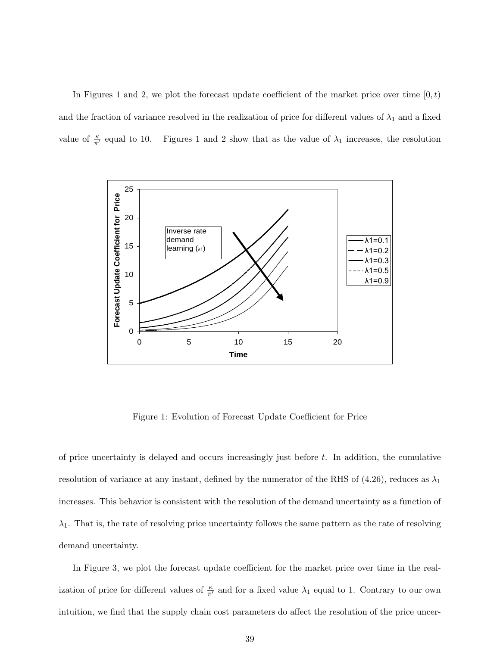In Figures 1 and 2, we plot the forecast update coefficient of the market price over time  $[0, t)$ and the fraction of variance resolved in the realization of price for different values of  $\lambda_1$  and a fixed value of  $\frac{\kappa}{\pi'}$  equal to 10. Figures 1 and 2 show that as the value of  $\lambda_1$  increases, the resolution



Figure 1: Evolution of Forecast Update Coefficient for Price

of price uncertainty is delayed and occurs increasingly just before  $t$ . In addition, the cumulative resolution of variance at any instant, defined by the numerator of the RHS of (4.26), reduces as  $\lambda_1$ increases. This behavior is consistent with the resolution of the demand uncertainty as a function of  $\lambda_1$ . That is, the rate of resolving price uncertainty follows the same pattern as the rate of resolving demand uncertainty.

In Figure 3, we plot the forecast update coefficient for the market price over time in the realization of price for different values of  $\frac{\kappa}{\pi'}$  and for a fixed value  $\lambda_1$  equal to 1. Contrary to our own intuition, we find that the supply chain cost parameters do affect the resolution of the price uncer-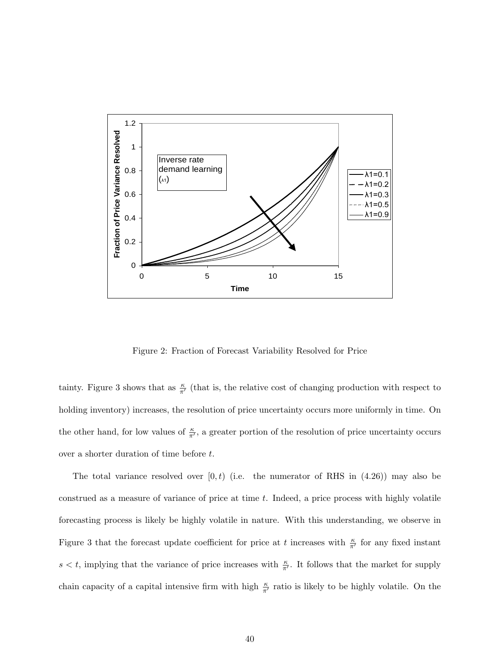

Figure 2: Fraction of Forecast Variability Resolved for Price

tainty. Figure 3 shows that as  $\frac{\kappa}{\pi'}$  (that is, the relative cost of changing production with respect to holding inventory) increases, the resolution of price uncertainty occurs more uniformly in time. On the other hand, for low values of  $\frac{\kappa}{\pi}$ , a greater portion of the resolution of price uncertainty occurs over a shorter duration of time before t.

The total variance resolved over  $[0, t)$  (i.e. the numerator of RHS in (4.26)) may also be construed as a measure of variance of price at time t. Indeed, a price process with highly volatile forecasting process is likely be highly volatile in nature. With this understanding, we observe in Figure 3 that the forecast update coefficient for price at t increases with  $\frac{\kappa}{\pi'}$  for any fixed instant  $s < t$ , implying that the variance of price increases with  $\frac{\kappa}{\pi}$ . It follows that the market for supply chain capacity of a capital intensive firm with high  $\frac{\kappa}{\pi'}$  ratio is likely to be highly volatile. On the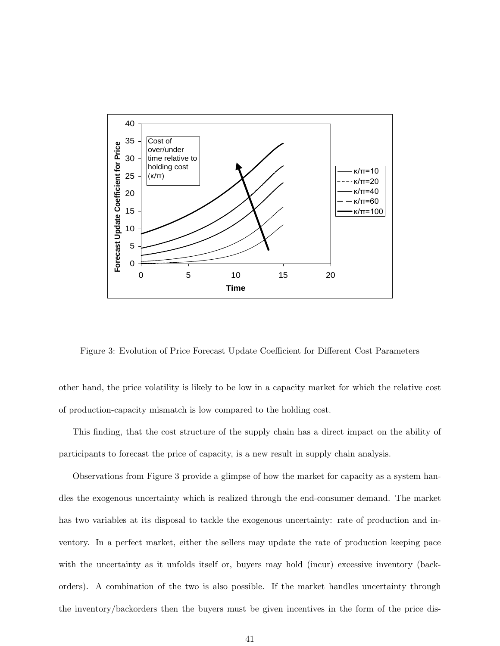

Figure 3: Evolution of Price Forecast Update Coefficient for Different Cost Parameters

other hand, the price volatility is likely to be low in a capacity market for which the relative cost of production-capacity mismatch is low compared to the holding cost.

This finding, that the cost structure of the supply chain has a direct impact on the ability of participants to forecast the price of capacity, is a new result in supply chain analysis.

Observations from Figure 3 provide a glimpse of how the market for capacity as a system handles the exogenous uncertainty which is realized through the end-consumer demand. The market has two variables at its disposal to tackle the exogenous uncertainty: rate of production and inventory. In a perfect market, either the sellers may update the rate of production keeping pace with the uncertainty as it unfolds itself or, buyers may hold (incur) excessive inventory (backorders). A combination of the two is also possible. If the market handles uncertainty through the inventory/backorders then the buyers must be given incentives in the form of the price dis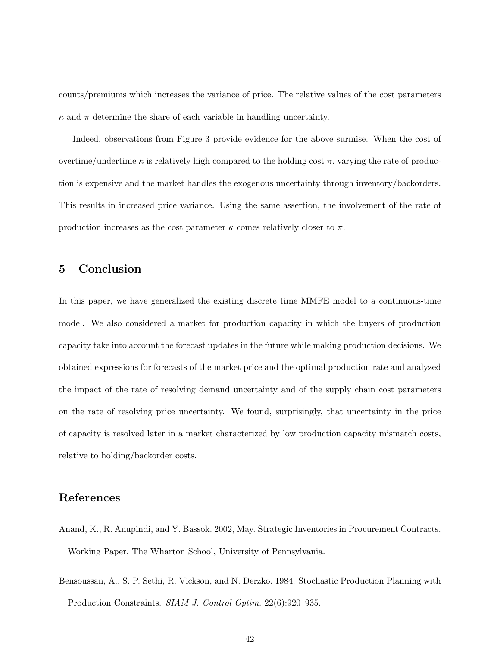counts/premiums which increases the variance of price. The relative values of the cost parameters  $\kappa$  and  $\pi$  determine the share of each variable in handling uncertainty.

Indeed, observations from Figure 3 provide evidence for the above surmise. When the cost of overtime/undertime  $\kappa$  is relatively high compared to the holding cost  $\pi$ , varying the rate of production is expensive and the market handles the exogenous uncertainty through inventory/backorders. This results in increased price variance. Using the same assertion, the involvement of the rate of production increases as the cost parameter  $\kappa$  comes relatively closer to  $\pi$ .

# 5 Conclusion

In this paper, we have generalized the existing discrete time MMFE model to a continuous-time model. We also considered a market for production capacity in which the buyers of production capacity take into account the forecast updates in the future while making production decisions. We obtained expressions for forecasts of the market price and the optimal production rate and analyzed the impact of the rate of resolving demand uncertainty and of the supply chain cost parameters on the rate of resolving price uncertainty. We found, surprisingly, that uncertainty in the price of capacity is resolved later in a market characterized by low production capacity mismatch costs, relative to holding/backorder costs.

## References

- Anand, K., R. Anupindi, and Y. Bassok. 2002, May. Strategic Inventories in Procurement Contracts. Working Paper, The Wharton School, University of Pennsylvania.
- Bensoussan, A., S. P. Sethi, R. Vickson, and N. Derzko. 1984. Stochastic Production Planning with Production Constraints. SIAM J. Control Optim. 22(6):920–935.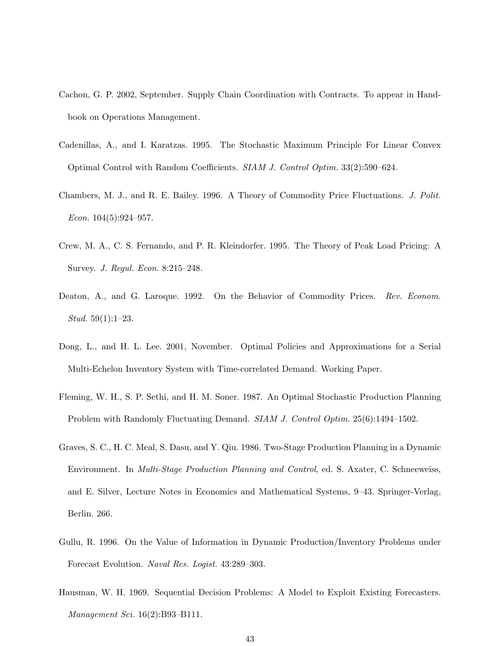- Cachon, G. P. 2002, September. Supply Chain Coordination with Contracts. To appear in Handbook on Operations Management.
- Cadenillas, A., and I. Karatzas. 1995. The Stochastic Maximum Principle For Linear Convex Optimal Control with Random Coefficients. SIAM J. Control Optim. 33(2):590–624.
- Chambers, M. J., and R. E. Bailey. 1996. A Theory of Commodity Price Fluctuations. J. Polit. *Econ.*  $104(5):924-957$ .
- Crew, M. A., C. S. Fernando, and P. R. Kleindorfer. 1995. The Theory of Peak Load Pricing: A Survey. J. Regul. Econ. 8:215–248.
- Deaton, A., and G. Laroque. 1992. On the Behavior of Commodity Prices. Rev. Econom. *Stud.*  $59(1):1-23$ .
- Dong, L., and H. L. Lee. 2001, November. Optimal Policies and Approximations for a Serial Multi-Echelon Inventory System with Time-correlated Demand. Working Paper.
- Fleming, W. H., S. P. Sethi, and H. M. Soner. 1987. An Optimal Stochastic Production Planning Problem with Randomly Fluctuating Demand. SIAM J. Control Optim. 25(6):1494–1502.
- Graves, S. C., H. C. Meal, S. Dasu, and Y. Qiu. 1986. Two-Stage Production Planning in a Dynamic Environment. In Multi-Stage Production Planning and Control, ed. S. Axater, C. Schneeweiss, and E. Silver, Lecture Notes in Economics and Mathematical Systems, 9–43. Springer-Verlag, Berlin. 266.
- Gullu, R. 1996. On the Value of Information in Dynamic Production/Inventory Problems under Forecast Evolution. Naval Res. Logist. 43:289–303.
- Hausman, W. H. 1969. Sequential Decision Problems: A Model to Exploit Existing Forecasters. Management Sci. 16(2):B93–B111.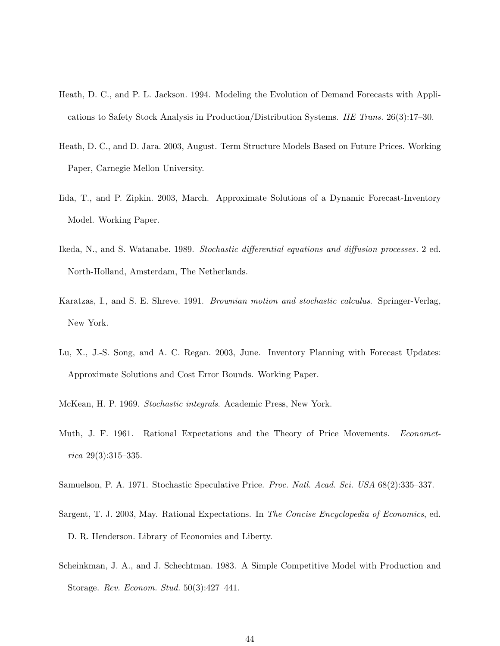- Heath, D. C., and P. L. Jackson. 1994. Modeling the Evolution of Demand Forecasts with Applications to Safety Stock Analysis in Production/Distribution Systems. IIE Trans. 26(3):17–30.
- Heath, D. C., and D. Jara. 2003, August. Term Structure Models Based on Future Prices. Working Paper, Carnegie Mellon University.
- Iida, T., and P. Zipkin. 2003, March. Approximate Solutions of a Dynamic Forecast-Inventory Model. Working Paper.
- Ikeda, N., and S. Watanabe. 1989. Stochastic differential equations and diffusion processes. 2 ed. North-Holland, Amsterdam, The Netherlands.
- Karatzas, I., and S. E. Shreve. 1991. Brownian motion and stochastic calculus. Springer-Verlag, New York.
- Lu, X., J.-S. Song, and A. C. Regan. 2003, June. Inventory Planning with Forecast Updates: Approximate Solutions and Cost Error Bounds. Working Paper.
- McKean, H. P. 1969. Stochastic integrals. Academic Press, New York.
- Muth, J. F. 1961. Rational Expectations and the Theory of Price Movements. Econometrica 29(3):315–335.
- Samuelson, P. A. 1971. Stochastic Speculative Price. Proc. Natl. Acad. Sci. USA 68(2):335–337.
- Sargent, T. J. 2003, May. Rational Expectations. In The Concise Encyclopedia of Economics, ed. D. R. Henderson. Library of Economics and Liberty.
- Scheinkman, J. A., and J. Schechtman. 1983. A Simple Competitive Model with Production and Storage. Rev. Econom. Stud. 50(3):427–441.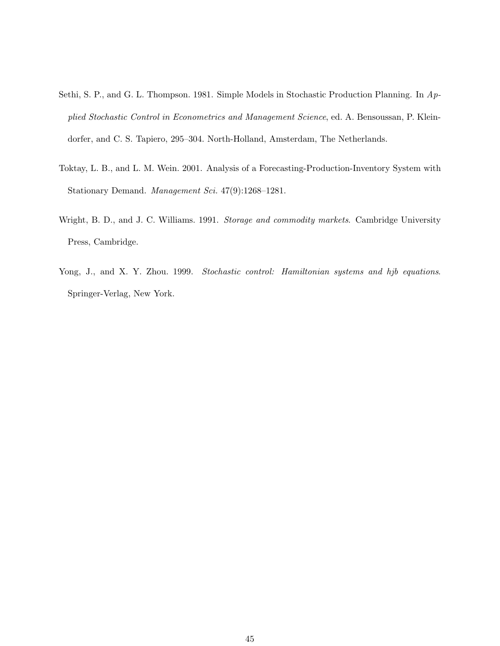- Sethi, S. P., and G. L. Thompson. 1981. Simple Models in Stochastic Production Planning. In Applied Stochastic Control in Econometrics and Management Science, ed. A. Bensoussan, P. Kleindorfer, and C. S. Tapiero, 295–304. North-Holland, Amsterdam, The Netherlands.
- Toktay, L. B., and L. M. Wein. 2001. Analysis of a Forecasting-Production-Inventory System with Stationary Demand. Management Sci. 47(9):1268–1281.
- Wright, B. D., and J. C. Williams. 1991. Storage and commodity markets. Cambridge University Press, Cambridge.
- Yong, J., and X. Y. Zhou. 1999. Stochastic control: Hamiltonian systems and hjb equations. Springer-Verlag, New York.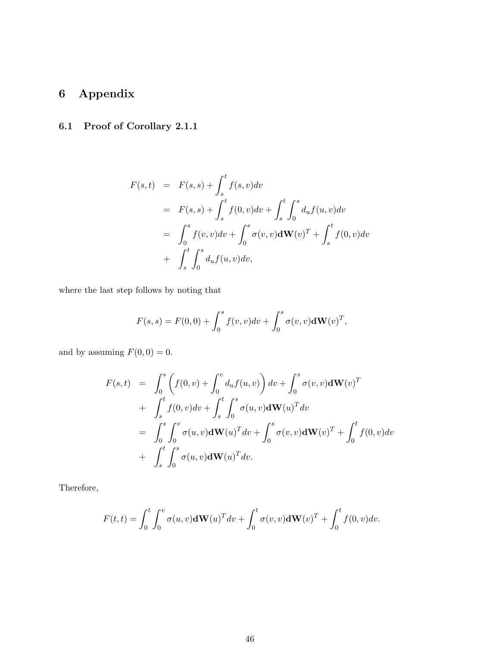# 6 Appendix

# 6.1 Proof of Corollary 2.1.1

$$
F(s,t) = F(s,s) + \int_{s}^{t} f(s,v)dv
$$
  
=  $F(s,s) + \int_{s}^{t} f(0,v)dv + \int_{s}^{t} \int_{0}^{s} d_{u}f(u,v)dv$   
=  $\int_{0}^{s} f(v,v)dv + \int_{0}^{s} \sigma(v,v)d\mathbf{W}(v)^{T} + \int_{s}^{t} f(0,v)dv$   
+  $\int_{s}^{t} \int_{0}^{s} d_{u}f(u,v)dv,$ 

where the last step follows by noting that

$$
F(s,s) = F(0,0) + \int_0^s f(v,v)dv + \int_0^s \sigma(v,v) d\mathbf{W}(v)^T,
$$

and by assuming  $F(0, 0) = 0$ .

$$
F(s,t) = \int_0^s \left( f(0, v) + \int_0^v d_u f(u, v) \right) dv + \int_0^s \sigma(v, v) d\mathbf{W}(v)^T + \int_s^t f(0, v) dv + \int_s^t \int_0^s \sigma(u, v) d\mathbf{W}(u)^T dv = \int_0^s \int_0^v \sigma(u, v) d\mathbf{W}(u)^T dv + \int_0^s \sigma(v, v) d\mathbf{W}(v)^T + \int_0^t f(0, v) dv + \int_s^t \int_0^s \sigma(u, v) d\mathbf{W}(u)^T dv.
$$

Therefore,

$$
F(t,t) = \int_0^t \int_0^v \sigma(u,v) d\mathbf{W}(u)^T dv + \int_0^t \sigma(v,v) d\mathbf{W}(v)^T + \int_0^t f(0,v) dv.
$$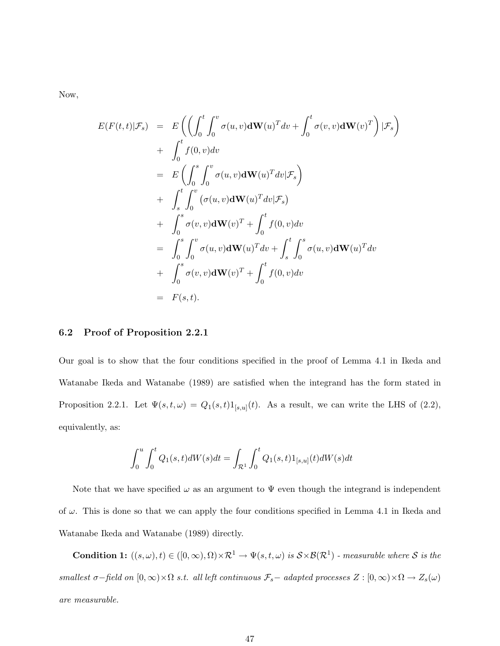Now,

$$
E(F(t,t)|\mathcal{F}_s) = E\left(\left(\int_0^t \int_0^v \sigma(u,v) d\mathbf{W}(u)^T dv + \int_0^t \sigma(v,v) d\mathbf{W}(v)^T\right) | \mathcal{F}_s\right)
$$
  
+ 
$$
\int_0^t f(0,v) dv
$$
  
= 
$$
E\left(\int_0^s \int_0^v \sigma(u,v) d\mathbf{W}(u)^T dv | \mathcal{F}_s\right)
$$
  
+ 
$$
\int_s^t \int_0^v (\sigma(u,v) d\mathbf{W}(u)^T dv | \mathcal{F}_s)
$$
  
+ 
$$
\int_0^s \sigma(v,v) d\mathbf{W}(v)^T + \int_0^t f(0,v) dv
$$
  
= 
$$
\int_0^s \int_0^v \sigma(u,v) d\mathbf{W}(u)^T dv + \int_s^t \int_0^s \sigma(u,v) d\mathbf{W}(u)^T dv
$$
  
+ 
$$
\int_0^s \sigma(v,v) d\mathbf{W}(v)^T + \int_0^t f(0,v) dv
$$
  
= 
$$
F(s,t).
$$

#### 6.2 Proof of Proposition 2.2.1

Our goal is to show that the four conditions specified in the proof of Lemma 4.1 in Ikeda and Watanabe Ikeda and Watanabe (1989) are satisfied when the integrand has the form stated in Proposition 2.2.1. Let  $\Psi(s,t,\omega) = Q_1(s,t)1_{[s,u]}(t)$ . As a result, we can write the LHS of (2.2), equivalently, as:

$$
\int_0^u \int_0^t Q_1(s, t) dW(s) dt = \int_{\mathcal{R}^1} \int_0^t Q_1(s, t) 1_{[s,u]}(t) dW(s) dt
$$

Note that we have specified  $\omega$  as an argument to  $\Psi$  even though the integrand is independent of  $\omega$ . This is done so that we can apply the four conditions specified in Lemma 4.1 in Ikeda and Watanabe Ikeda and Watanabe (1989) directly.

**Condition 1:**  $((s,\omega),t) \in ([0,\infty),\Omega) \times \mathbb{R}^1 \to \Psi(s,t,\omega)$  is  $S \times \mathcal{B}(\mathbb{R}^1)$  - measurable where S is the smallest  $\sigma$ −field on  $[0, \infty) \times \Omega$  s.t. all left continuous  $\mathcal{F}_s$ − adapted processes  $Z : [0, \infty) \times \Omega \to Z_s(\omega)$ are measurable.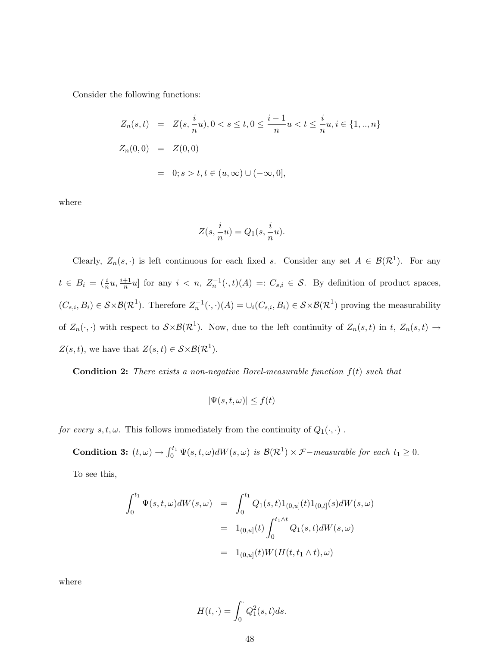Consider the following functions:

$$
Z_n(s,t) = Z(s, \frac{i}{n}u), 0 < s \le t, 0 \le \frac{i-1}{n}u < t \le \frac{i}{n}u, i \in \{1, ..., n\}
$$
  

$$
Z_n(0,0) = Z(0,0)
$$
  

$$
= 0; s > t, t \in (u, \infty) \cup (-\infty, 0],
$$

where

$$
Z(s,\frac{i}{n}u)=Q_1(s,\frac{i}{n}u).
$$

Clearly,  $Z_n(s, \cdot)$  is left continuous for each fixed s. Consider any set  $A \in \mathcal{B}(\mathcal{R}^1)$ . For any  $t \in B_i = \left(\frac{i}{n}u, \frac{i+1}{n}u\right]$  for any  $i \leq n$ ,  $Z_n^{-1}(\cdot, t)(A) =: C_{s,i} \in \mathcal{S}$ . By definition of product spaces,  $(C_{s,i}, B_i) \in S \times \mathcal{B}(\mathcal{R}^1)$ . Therefore  $Z_n^{-1}(\cdot, \cdot)(A) = \cup_i (C_{s,i}, B_i) \in S \times \mathcal{B}(\mathcal{R}^1)$  proving the measurability of  $Z_n(\cdot, \cdot)$  with respect to  $S \times \mathcal{B}(\mathcal{R}^1)$ . Now, due to the left continuity of  $Z_n(s,t)$  in t,  $Z_n(s,t) \to$  $Z(s,t)$ , we have that  $Z(s,t) \in S \times \mathcal{B}(\mathcal{R}^1)$ .

**Condition 2:** There exists a non-negative Borel-measurable function  $f(t)$  such that

$$
|\Psi(s, t, \omega)| \le f(t)
$$

 $for\ every\ s,t,\omega.$  This follows immediately from the continuity of  $Q_1(\cdot,\cdot)$  .

Condition 3:  $(t, \omega) \to \int_0^{t_1} \Psi(s, t, \omega) dW(s, \omega)$  is  $\mathcal{B}(\mathcal{R}^1) \times \mathcal{F}-measurable$  for each  $t_1 \geq 0$ . To see this,

$$
\int_{0}^{t_{1}} \Psi(s,t,\omega)dW(s,\omega) = \int_{0}^{t_{1}} Q_{1}(s,t)1_{(0,u]}(t)1_{(0,t]}(s)dW(s,\omega)
$$

$$
= 1_{(0,u]}(t) \int_{0}^{t_{1} \wedge t} Q_{1}(s,t)dW(s,\omega)
$$

$$
= 1_{(0,u]}(t)W(H(t,t_{1} \wedge t),\omega)
$$

where

$$
H(t,\cdot) = \int_0^{\cdot} Q_1^2(s,t)ds.
$$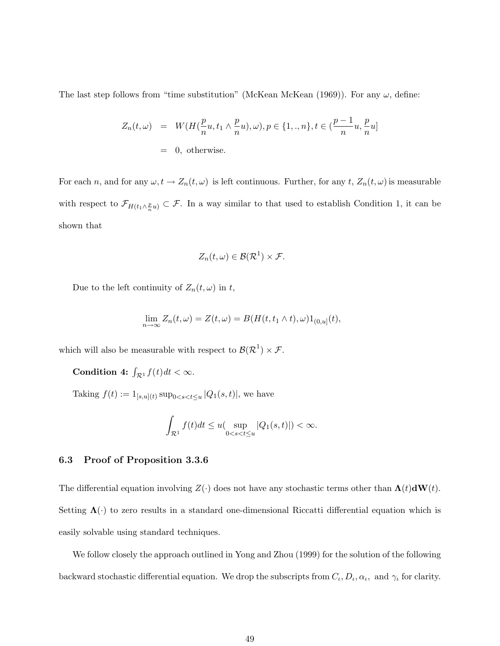The last step follows from "time substitution" (McKean McKean (1969)). For any  $\omega$ , define:

$$
Z_n(t,\omega) = W(H(\frac{p}{n}u, t_1 \wedge \frac{p}{n}u), \omega), p \in \{1,.,n\}, t \in (\frac{p-1}{n}u, \frac{p}{n}u]
$$
  
= 0, otherwise.

For each n, and for any  $\omega$ ,  $t \to Z_n(t, \omega)$  is left continuous. Further, for any t,  $Z_n(t, \omega)$  is measurable with respect to  $\mathcal{F}_{H(t_1\wedge \frac{p}{n}u)}\subset \mathcal{F}$ . In a way similar to that used to establish Condition 1, it can be shown that

$$
Z_n(t,\omega) \in \mathcal{B}(\mathcal{R}^1) \times \mathcal{F}.
$$

Due to the left continuity of  $Z_n(t, \omega)$  in t,

$$
\lim_{n \to \infty} Z_n(t, \omega) = Z(t, \omega) = B(H(t, t_1 \wedge t), \omega)1_{(0, u]}(t),
$$

which will also be measurable with respect to  $\mathcal{B}(\mathcal{R}^1) \times \mathcal{F}$ .

Condition 4:  $\int_{\mathcal{R}^1} f(t) dt < \infty$ .

Taking  $f(t) := 1_{[s,u](t)} \sup_{0 < s < t \le u} |Q_1(s,t)|$ , we have

$$
\int_{\mathcal{R}^1} f(t)dt \le u(\sup_{0 < s < t \le u} |Q_1(s, t)|) < \infty.
$$

#### 6.3 Proof of Proposition 3.3.6

The differential equation involving  $Z(\cdot)$  does not have any stochastic terms other than  $\Lambda(t)dW(t)$ . Setting  $\Lambda(\cdot)$  to zero results in a standard one-dimensional Riccatti differential equation which is easily solvable using standard techniques.

We follow closely the approach outlined in Yong and Zhou (1999) for the solution of the following backward stochastic differential equation. We drop the subscripts from  $C_t, D_t, \alpha_t$ , and  $\gamma_t$  for clarity.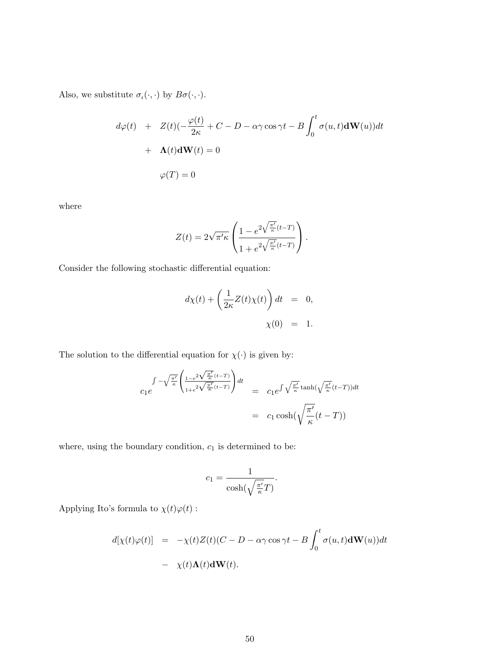Also, we substitute  $\sigma_\iota(\cdot,\cdot)$  by  $B\sigma(\cdot,\cdot).$ 

$$
d\varphi(t) + Z(t)(-\frac{\varphi(t)}{2\kappa} + C - D - \alpha \gamma \cos \gamma t - B \int_0^t \sigma(u, t) d\mathbf{W}(u)) dt
$$
  
+  $\Lambda(t) d\mathbf{W}(t) = 0$   

$$
\varphi(T) = 0
$$

where

$$
Z(t) = 2\sqrt{\pi'}\kappa \left(\frac{1 - e^{2\sqrt{\frac{\pi'}{\kappa}}(t-T)}}{1 + e^{2\sqrt{\frac{\pi'}{\kappa}}(t-T)}}\right).
$$

Consider the following stochastic differential equation:

$$
d\chi(t) + \left(\frac{1}{2\kappa}Z(t)\chi(t)\right)dt = 0,
$$
  

$$
\chi(0) = 1.
$$

The solution to the differential equation for  $\chi(\cdot)$  is given by:

$$
c_1 e^{\int -\sqrt{\frac{\pi'}{\kappa}} \left( \frac{1-e^{2\sqrt{\frac{\pi'}{\kappa}}(t-T)}}{1+e^{2\sqrt{\frac{\pi'}{\kappa}}(t-T)}} \right) dt} = c_1 e^{\int \sqrt{\frac{\pi'}{\kappa}} \tanh(\sqrt{\frac{\pi'}{\kappa}}(t-T)) dt}
$$
  
=  $c_1 \cosh(\sqrt{\frac{\pi'}{\kappa}}(t-T))$ 

where, using the boundary condition,  $\mathfrak{c}_1$  is determined to be:

$$
c_1 = \frac{1}{\cosh(\sqrt{\frac{\pi'}{\kappa}}T)}.
$$

Applying Ito's formula to  $\chi(t)\varphi(t)$  :

$$
d[\chi(t)\varphi(t)] = -\chi(t)Z(t)(C - D - \alpha\gamma\cos\gamma t - B\int_0^t \sigma(u,t)\mathbf{d}\mathbf{W}(u))dt
$$
  

$$
- \chi(t)\mathbf{\Lambda}(t)\mathbf{d}\mathbf{W}(t).
$$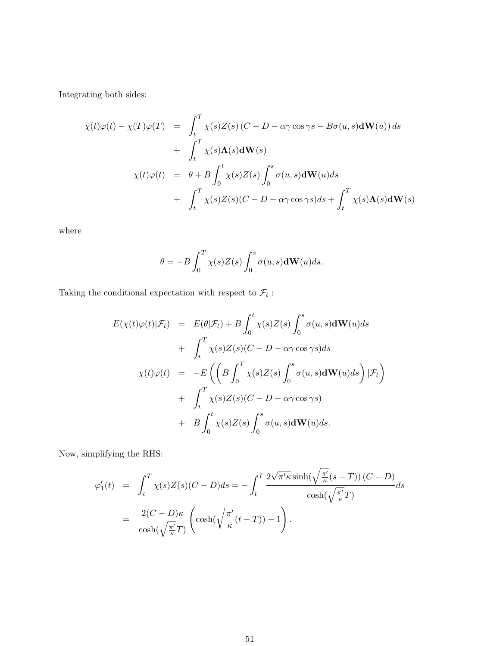Integrating both sides:

$$
\chi(t)\varphi(t) - \chi(T)\varphi(T) = \int_t^T \chi(s)Z(s) (C - D - \alpha \gamma \cos \gamma s - B\sigma(u, s)d\mathbf{W}(u)) ds \n+ \int_t^T \chi(s)\Lambda(s)d\mathbf{W}(s) \n\chi(t)\varphi(t) = \theta + B \int_0^t \chi(s)Z(s) \int_0^s \sigma(u, s)d\mathbf{W}(u) ds \n+ \int_t^T \chi(s)Z(s)(C - D - \alpha \gamma \cos \gamma s) ds + \int_t^T \chi(s)\Lambda(s)d\mathbf{W}(s)
$$

where

$$
\theta = -B \int_0^T \chi(s) Z(s) \int_0^s \sigma(u, s) \mathbf{d} \mathbf{W}(u) ds.
$$

Taking the conditional expectation with respect to  $\mathcal{F}_t$ :

$$
E(\chi(t)\varphi(t)|\mathcal{F}_t) = E(\theta|\mathcal{F}_t) + B \int_0^t \chi(s)Z(s) \int_0^s \sigma(u,s)\mathbf{d} \mathbf{W}(u)ds
$$
  
+ 
$$
\int_t^T \chi(s)Z(s)(C - D - \alpha \gamma \cos \gamma s)ds
$$
  

$$
\chi(t)\varphi(t) = -E\left(\left(B \int_0^T \chi(s)Z(s) \int_0^s \sigma(u,s)\mathbf{d} \mathbf{W}(u)ds\right)|\mathcal{F}_t\right)
$$
  
+ 
$$
\int_t^T \chi(s)Z(s)(C - D - \alpha \gamma \cos \gamma s)
$$
  
+ 
$$
B \int_0^t \chi(s)Z(s) \int_0^s \sigma(u,s)\mathbf{d} \mathbf{W}(u)ds.
$$

Now, simplifying the RHS:

$$
\varphi_1'(t) = \int_t^T \chi(s)Z(s)(C-D)ds = -\int_t^T \frac{2\sqrt{\pi'}\kappa \sinh(\sqrt{\frac{\pi'}{\kappa}}(s-T))(C-D)}{\cosh(\sqrt{\frac{\pi'}{\kappa}}T)}ds
$$

$$
= \frac{2(C-D)\kappa}{\cosh(\sqrt{\frac{\pi'}{\kappa}}T)} \left(\cosh(\sqrt{\frac{\pi'}{\kappa}}(t-T)) - 1\right).
$$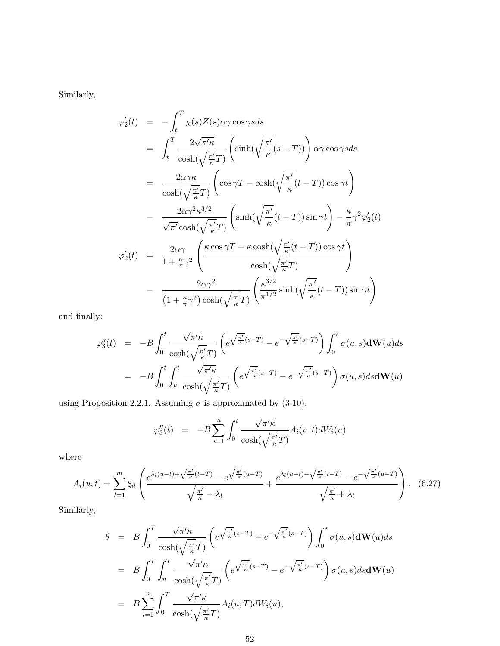Similarly,

$$
\varphi_{2}'(t) = -\int_{t}^{T} \chi(s) Z(s) \alpha \gamma \cos \gamma s ds
$$
  
\n
$$
= \int_{t}^{T} \frac{2\sqrt{\pi'} \kappa}{\cosh(\sqrt{\frac{\pi'}{\kappa}} T)} \left( \sinh(\sqrt{\frac{\pi'}{\kappa}} (s - T)) \right) \alpha \gamma \cos \gamma s ds
$$
  
\n
$$
= \frac{2\alpha \gamma \kappa}{\cosh(\sqrt{\frac{\pi'}{\kappa}} T)} \left( \cos \gamma T - \cosh(\sqrt{\frac{\pi'}{\kappa}} (t - T)) \cos \gamma t \right)
$$
  
\n
$$
- \frac{2\alpha \gamma^{2} \kappa^{3/2}}{\sqrt{\pi'} \cosh(\sqrt{\frac{\pi'}{\kappa}} T)} \left( \sinh(\sqrt{\frac{\pi'}{\kappa}} (t - T)) \sin \gamma t \right) - \frac{\kappa}{\pi} \gamma^{2} \varphi_{2}'(t)
$$
  
\n
$$
\varphi_{2}'(t) = \frac{2\alpha \gamma}{1 + \frac{\kappa}{\pi} \gamma^{2}} \left( \frac{\kappa \cos \gamma T - \kappa \cosh(\sqrt{\frac{\pi'}{\kappa}} (t - T)) \cos \gamma t}{\cosh(\sqrt{\frac{\pi'}{\kappa}} T)} \right)
$$
  
\n
$$
- \frac{2\alpha \gamma^{2}}{(1 + \frac{\kappa}{\pi} \gamma^{2}) \cosh(\sqrt{\frac{\pi'}{\kappa}} T)} \left( \frac{\kappa^{3/2}}{\pi^{1/2}} \sinh(\sqrt{\frac{\pi'}{\kappa}} (t - T)) \sin \gamma t \right)
$$

and finally:

$$
\varphi_3''(t) = -B \int_0^t \frac{\sqrt{\pi'} \kappa}{\cosh(\sqrt{\frac{\pi'}{\kappa}} T)} \left( e^{\sqrt{\frac{\pi'}{\kappa}}(s-T)} - e^{-\sqrt{\frac{\pi'}{\kappa}}(s-T)} \right) \int_0^s \sigma(u,s) d\mathbf{W}(u) ds
$$
  

$$
= -B \int_0^t \int_u^t \frac{\sqrt{\pi'} \kappa}{\cosh(\sqrt{\frac{\pi'}{\kappa}} T)} \left( e^{\sqrt{\frac{\pi'}{\kappa}}(s-T)} - e^{-\sqrt{\frac{\pi'}{\kappa}}(s-T)} \right) \sigma(u,s) ds d\mathbf{W}(u)
$$

using Proposition 2.2.1. Assuming  $\sigma$  is approximated by (3.10),

$$
\varphi_3''(t) = -B \sum_{i=1}^n \int_0^t \frac{\sqrt{\pi/\kappa}}{\cosh(\sqrt{\frac{\pi'}{\kappa}}T)} A_i(u, t) dW_i(u)
$$

where

$$
A_i(u,t) = \sum_{l=1}^m \xi_{il} \left( \frac{e^{\lambda_l(u-t) + \sqrt{\frac{\pi'}{\kappa}}(t-T)} - e^{\sqrt{\frac{\pi'}{\kappa}}(u-T)}}{\sqrt{\frac{\pi'}{\kappa}} - \lambda_l} + \frac{e^{\lambda_l(u-t) - \sqrt{\frac{\pi'}{\kappa}}(t-T)} - e^{-\sqrt{\frac{\pi'}{\kappa}}(u-T)}}{\sqrt{\frac{\pi'}{\kappa}} + \lambda_l} \right). \tag{6.27}
$$

Similarly,

$$
\theta = B \int_0^T \frac{\sqrt{\pi'} \kappa}{\cosh(\sqrt{\frac{\pi'}{\kappa}} T)} \left( e^{\sqrt{\frac{\pi'}{\kappa}} (s-T)} - e^{-\sqrt{\frac{\pi'}{\kappa}} (s-T)} \right) \int_0^s \sigma(u, s) d\mathbf{W}(u) ds
$$
  
\n
$$
= B \int_0^T \int_u^T \frac{\sqrt{\pi'} \kappa}{\cosh(\sqrt{\frac{\pi'}{\kappa}} T)} \left( e^{\sqrt{\frac{\pi'}{\kappa}} (s-T)} - e^{-\sqrt{\frac{\pi'}{\kappa}} (s-T)} \right) \sigma(u, s) ds d\mathbf{W}(u)
$$
  
\n
$$
= B \sum_{i=1}^n \int_0^T \frac{\sqrt{\pi'} \kappa}{\cosh(\sqrt{\frac{\pi'}{\kappa}} T)} A_i(u, T) dW_i(u),
$$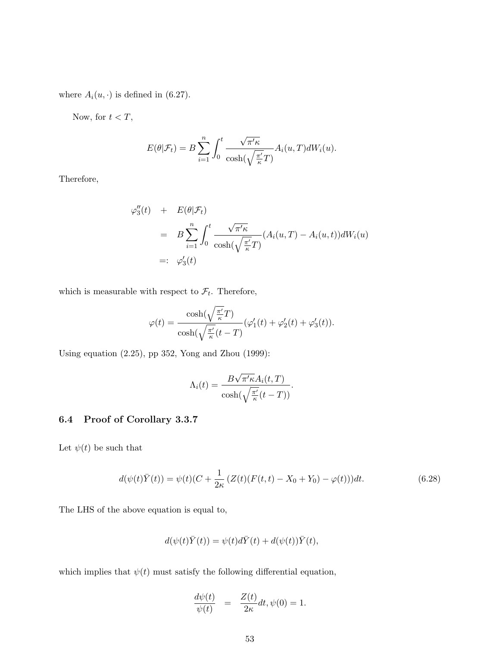where  $A_i(u, \cdot)$  is defined in (6.27).

Now, for  $t < T$ ,

$$
E(\theta|\mathcal{F}_t) = B \sum_{i=1}^n \int_0^t \frac{\sqrt{\pi/\kappa}}{\cosh(\sqrt{\frac{\pi'}{\kappa}}T)} A_i(u, T) dW_i(u).
$$

Therefore,

$$
\varphi_3''(t) + E(\theta|\mathcal{F}_t)
$$
  
= 
$$
B \sum_{i=1}^n \int_0^t \frac{\sqrt{\pi'} \kappa}{\cosh(\sqrt{\frac{\pi'}{\kappa}}T)} (A_i(u, T) - A_i(u, t)) dW_i(u)
$$
  
=: 
$$
\varphi_3'(t)
$$

which is measurable with respect to  $\mathcal{F}_t$ . Therefore,

$$
\varphi(t) = \frac{\cosh(\sqrt{\frac{\pi'}{\kappa}}T)}{\cosh(\sqrt{\frac{\pi'}{\kappa}}(t-T))} (\varphi_1'(t) + \varphi_2'(t) + \varphi_3'(t)).
$$

Using equation (2.25), pp 352, Yong and Zhou (1999):

$$
\Lambda_i(t) = \frac{B\sqrt{\pi' \kappa} A_i(t, T)}{\cosh(\sqrt{\frac{\pi'}{\kappa}}(t-T))}.
$$

# 6.4 Proof of Corollary 3.3.7

Let  $\psi(t)$  be such that

$$
d(\psi(t)\bar{Y}(t)) = \psi(t)(C + \frac{1}{2\kappa} (Z(t)(F(t,t) - X_0 + Y_0) - \varphi(t)))dt.
$$
\n(6.28)

The LHS of the above equation is equal to,

$$
d(\psi(t)\overline{Y}(t)) = \psi(t)d\overline{Y}(t) + d(\psi(t))\overline{Y}(t),
$$

which implies that  $\psi(t)$  must satisfy the following differential equation,

$$
\frac{d\psi(t)}{\psi(t)} = \frac{Z(t)}{2\kappa}dt, \psi(0) = 1.
$$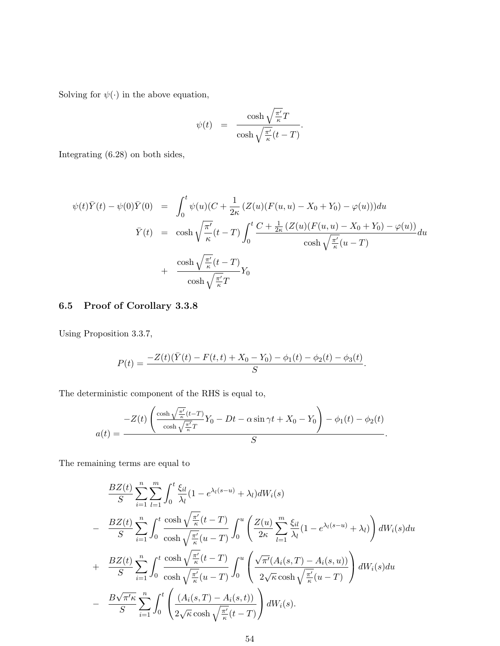Solving for  $\psi(\cdot)$  in the above equation,

$$
\psi(t) = \frac{\cosh\sqrt{\frac{\pi'}{\kappa}}T}{\cosh\sqrt{\frac{\pi'}{\kappa}}(t-T)}.
$$

Integrating (6.28) on both sides,

$$
\psi(t)\bar{Y}(t) - \psi(0)\bar{Y}(0) = \int_0^t \psi(u)(C + \frac{1}{2\kappa} (Z(u)(F(u, u) - X_0 + Y_0) - \varphi(u)))du
$$
  

$$
\bar{Y}(t) = \cosh\sqrt{\frac{\pi'}{\kappa}}(t - T) \int_0^t \frac{C + \frac{1}{2\kappa} (Z(u)(F(u, u) - X_0 + Y_0) - \varphi(u))}{\cosh\sqrt{\frac{\pi'}{\kappa}}(u - T)} du
$$
  

$$
+ \frac{\cosh\sqrt{\frac{\pi'}{\kappa}}(t - T)}{\cosh\sqrt{\frac{\pi'}{\kappa}}T} Y_0
$$

# 6.5 Proof of Corollary 3.3.8

Using Proposition 3.3.7,

$$
P(t) = \frac{-Z(t)(\bar{Y}(t) - F(t, t) + X_0 - Y_0) - \phi_1(t) - \phi_2(t) - \phi_3(t)}{S}.
$$

The deterministic component of the RHS is equal to,

$$
a(t) = \frac{-Z(t)\left(\frac{\cosh\sqrt{\frac{\pi'}{\kappa}}(t-T)}{\cosh\sqrt{\frac{\pi'}{\kappa}}T}Y_0 - Dt - \alpha\sin\gamma t + X_0 - Y_0\right) - \phi_1(t) - \phi_2(t)}{S}.
$$

The remaining terms are equal to

$$
\frac{BZ(t)}{S} \sum_{i=1}^{n} \sum_{l=1}^{m} \int_{0}^{t} \frac{\xi_{il}}{\lambda_{l}} (1 - e^{\lambda_{l}(s-u)} + \lambda_{l}) dW_{i}(s)
$$
\n
$$
- \frac{BZ(t)}{S} \sum_{i=1}^{n} \int_{0}^{t} \frac{\cosh \sqrt{\frac{\pi'}{\kappa}}(t-T)}{\cosh \sqrt{\frac{\pi'}{\kappa}}(u-T)} \int_{0}^{u} \left( \frac{Z(u)}{2\kappa} \sum_{l=1}^{m} \frac{\xi_{il}}{\lambda_{l}} (1 - e^{\lambda_{l}(s-u)} + \lambda_{l}) \right) dW_{i}(s) du
$$
\n
$$
+ \frac{BZ(t)}{S} \sum_{i=1}^{n} \int_{0}^{t} \frac{\cosh \sqrt{\frac{\pi'}{\kappa}}(t-T)}{\cosh \sqrt{\frac{\pi'}{\kappa}}(u-T)} \int_{0}^{u} \left( \frac{\sqrt{\pi'}(A_{i}(s,T) - A_{i}(s,u))}{2\sqrt{\kappa} \cosh \sqrt{\frac{\pi'}{\kappa}}(u-T)} \right) dW_{i}(s) du
$$
\n
$$
- \frac{B\sqrt{\pi'}\kappa}{S} \sum_{i=1}^{n} \int_{0}^{t} \left( \frac{(A_{i}(s,T) - A_{i}(s,t))}{2\sqrt{\kappa} \cosh \sqrt{\frac{\pi'}{\kappa}}(t-T)} \right) dW_{i}(s).
$$